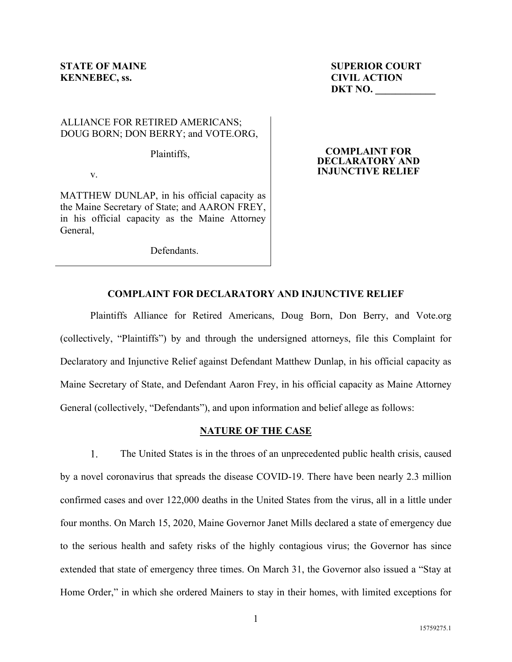# **KENNEBEC, ss.** CIVIL ACTION

**STATE OF MAINE STATE OF MAINE DKT NO. \_\_\_\_\_\_\_\_\_\_\_\_** 

# ALLIANCE FOR RETIRED AMERICANS; DOUG BORN; DON BERRY; and VOTE.ORG,

Plaintiffs,

v.

MATTHEW DUNLAP, in his official capacity as the Maine Secretary of State; and AARON FREY, in his official capacity as the Maine Attorney General,

Defendants.

## **COMPLAINT FOR DECLARATORY AND INJUNCTIVE RELIEF**

# **COMPLAINT FOR DECLARATORY AND INJUNCTIVE RELIEF**

Plaintiffs Alliance for Retired Americans, Doug Born, Don Berry, and Vote.org (collectively, "Plaintiffs") by and through the undersigned attorneys, file this Complaint for Declaratory and Injunctive Relief against Defendant Matthew Dunlap, in his official capacity as Maine Secretary of State, and Defendant Aaron Frey, in his official capacity as Maine Attorney General (collectively, "Defendants"), and upon information and belief allege as follows:

## **NATURE OF THE CASE**

 $1<sub>1</sub>$ The United States is in the throes of an unprecedented public health crisis, caused by a novel coronavirus that spreads the disease COVID-19. There have been nearly 2.3 million confirmed cases and over 122,000 deaths in the United States from the virus, all in a little under four months. On March 15, 2020, Maine Governor Janet Mills declared a state of emergency due to the serious health and safety risks of the highly contagious virus; the Governor has since extended that state of emergency three times. On March 31, the Governor also issued a "Stay at Home Order," in which she ordered Mainers to stay in their homes, with limited exceptions for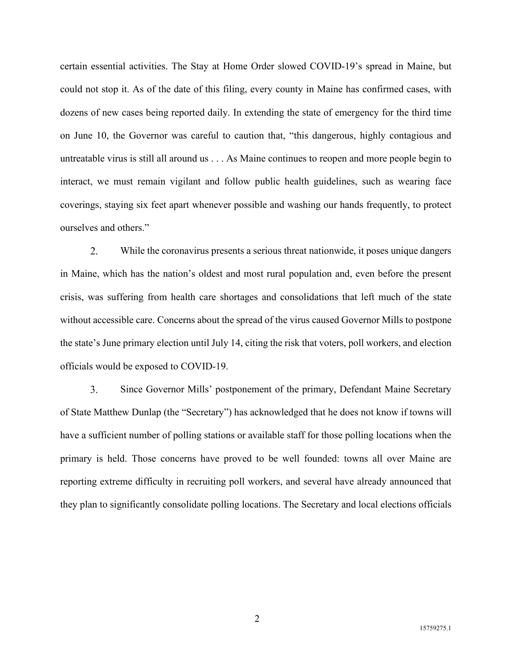certain essential activities. The Stay at Home Order slowed COVID-19's spread in Maine, but could not stop it. As of the date of this filing, every county in Maine has confirmed cases, with dozens of new cases being reported daily. In extending the state of emergency for the third time on June 10, the Governor was careful to caution that, "this dangerous, highly contagious and untreatable virus is still all around us . . . As Maine continues to reopen and more people begin to interact, we must remain vigilant and follow public health guidelines, such as wearing face coverings, staying six feet apart whenever possible and washing our hands frequently, to protect ourselves and others."

2. While the coronavirus presents a serious threat nationwide, it poses unique dangers in Maine, which has the nation's oldest and most rural population and, even before the present crisis, was suffering from health care shortages and consolidations that left much of the state without accessible care. Concerns about the spread of the virus caused Governor Mills to postpone the state's June primary election until July 14, citing the risk that voters, poll workers, and election officials would be exposed to COVID-19.

3. Since Governor Mills' postponement of the primary, Defendant Maine Secretary of State Matthew Dunlap (the "Secretary") has acknowledged that he does not know if towns will have a sufficient number of polling stations or available staff for those polling locations when the primary is held. Those concerns have proved to be well founded: towns all over Maine are reporting extreme difficulty in recruiting poll workers, and several have already announced that they plan to significantly consolidate polling locations. The Secretary and local elections officials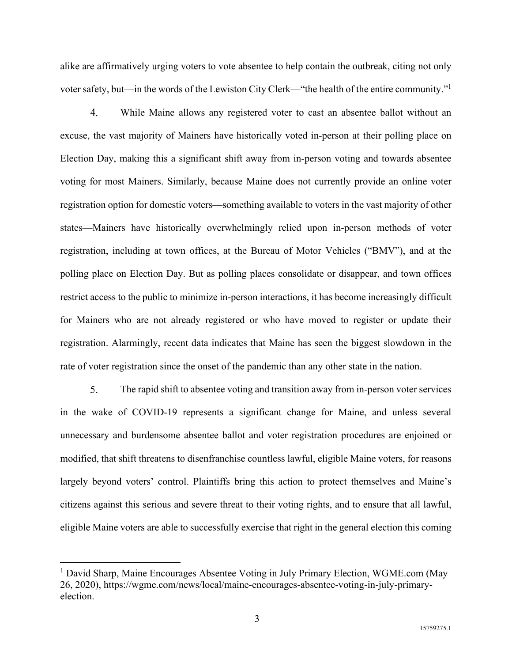alike are affirmatively urging voters to vote absentee to help contain the outbreak, citing not only voter safety, but—in the words of the Lewiston City Clerk—"the health of the entire community."<sup>1</sup>

 $\overline{4}$ . While Maine allows any registered voter to cast an absentee ballot without an excuse, the vast majority of Mainers have historically voted in-person at their polling place on Election Day, making this a significant shift away from in-person voting and towards absentee voting for most Mainers. Similarly, because Maine does not currently provide an online voter registration option for domestic voters—something available to voters in the vast majority of other states—Mainers have historically overwhelmingly relied upon in-person methods of voter registration, including at town offices, at the Bureau of Motor Vehicles ("BMV"), and at the polling place on Election Day. But as polling places consolidate or disappear, and town offices restrict access to the public to minimize in-person interactions, it has become increasingly difficult for Mainers who are not already registered or who have moved to register or update their registration. Alarmingly, recent data indicates that Maine has seen the biggest slowdown in the rate of voter registration since the onset of the pandemic than any other state in the nation.

5. The rapid shift to absentee voting and transition away from in-person voter services in the wake of COVID-19 represents a significant change for Maine, and unless several unnecessary and burdensome absentee ballot and voter registration procedures are enjoined or modified, that shift threatens to disenfranchise countless lawful, eligible Maine voters, for reasons largely beyond voters' control. Plaintiffs bring this action to protect themselves and Maine's citizens against this serious and severe threat to their voting rights, and to ensure that all lawful, eligible Maine voters are able to successfully exercise that right in the general election this coming

<sup>&</sup>lt;sup>1</sup> David Sharp, Maine Encourages Absentee Voting in July Primary Election, WGME.com (May 26, 2020), https://wgme.com/news/local/maine-encourages-absentee-voting-in-july-primaryelection.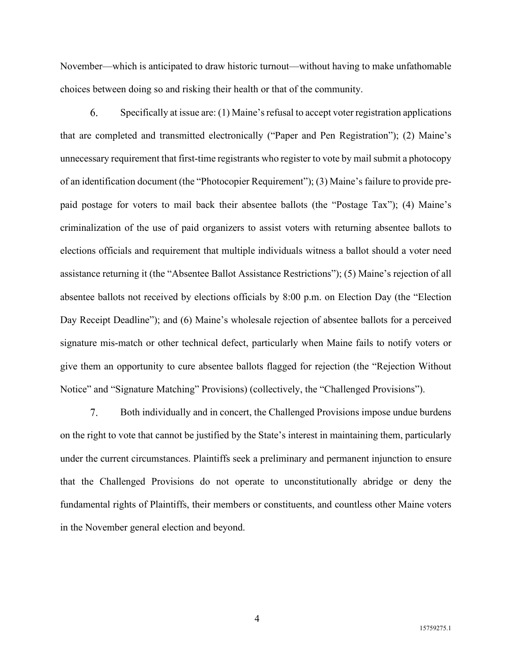November—which is anticipated to draw historic turnout—without having to make unfathomable choices between doing so and risking their health or that of the community.

6. Specifically at issue are: (1) Maine's refusal to accept voter registration applications that are completed and transmitted electronically ("Paper and Pen Registration"); (2) Maine's unnecessary requirement that first-time registrants who register to vote by mail submit a photocopy of an identification document (the "Photocopier Requirement"); (3) Maine's failure to provide prepaid postage for voters to mail back their absentee ballots (the "Postage Tax"); (4) Maine's criminalization of the use of paid organizers to assist voters with returning absentee ballots to elections officials and requirement that multiple individuals witness a ballot should a voter need assistance returning it (the "Absentee Ballot Assistance Restrictions"); (5) Maine's rejection of all absentee ballots not received by elections officials by 8:00 p.m. on Election Day (the "Election Day Receipt Deadline"); and (6) Maine's wholesale rejection of absentee ballots for a perceived signature mis-match or other technical defect, particularly when Maine fails to notify voters or give them an opportunity to cure absentee ballots flagged for rejection (the "Rejection Without Notice" and "Signature Matching" Provisions) (collectively, the "Challenged Provisions").

 $7.$ Both individually and in concert, the Challenged Provisions impose undue burdens on the right to vote that cannot be justified by the State's interest in maintaining them, particularly under the current circumstances. Plaintiffs seek a preliminary and permanent injunction to ensure that the Challenged Provisions do not operate to unconstitutionally abridge or deny the fundamental rights of Plaintiffs, their members or constituents, and countless other Maine voters in the November general election and beyond.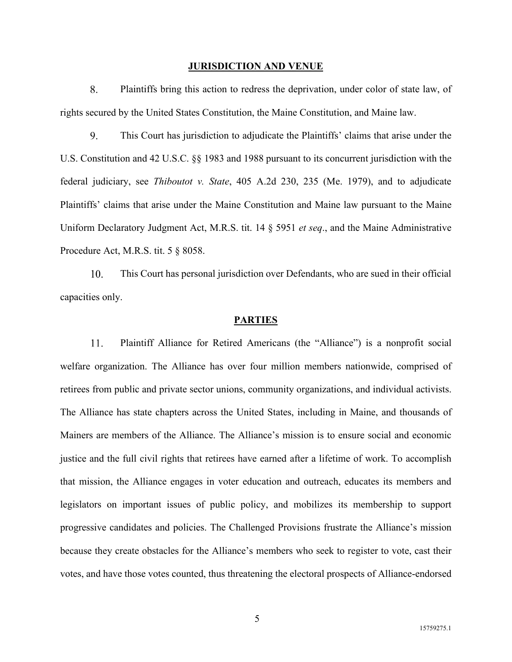#### **JURISDICTION AND VENUE**

8. Plaintiffs bring this action to redress the deprivation, under color of state law, of rights secured by the United States Constitution, the Maine Constitution, and Maine law.

9. This Court has jurisdiction to adjudicate the Plaintiffs' claims that arise under the U.S. Constitution and 42 U.S.C. §§ 1983 and 1988 pursuant to its concurrent jurisdiction with the federal judiciary, see *Thiboutot v. State*, 405 A.2d 230, 235 (Me. 1979), and to adjudicate Plaintiffs' claims that arise under the Maine Constitution and Maine law pursuant to the Maine Uniform Declaratory Judgment Act, M.R.S. tit. 14 § 5951 *et seq*., and the Maine Administrative Procedure Act, M.R.S. tit. 5 § 8058.

10. This Court has personal jurisdiction over Defendants, who are sued in their official capacities only.

#### **PARTIES**

Plaintiff Alliance for Retired Americans (the "Alliance") is a nonprofit social 11. welfare organization. The Alliance has over four million members nationwide, comprised of retirees from public and private sector unions, community organizations, and individual activists. The Alliance has state chapters across the United States, including in Maine, and thousands of Mainers are members of the Alliance. The Alliance's mission is to ensure social and economic justice and the full civil rights that retirees have earned after a lifetime of work. To accomplish that mission, the Alliance engages in voter education and outreach, educates its members and legislators on important issues of public policy, and mobilizes its membership to support progressive candidates and policies. The Challenged Provisions frustrate the Alliance's mission because they create obstacles for the Alliance's members who seek to register to vote, cast their votes, and have those votes counted, thus threatening the electoral prospects of Alliance-endorsed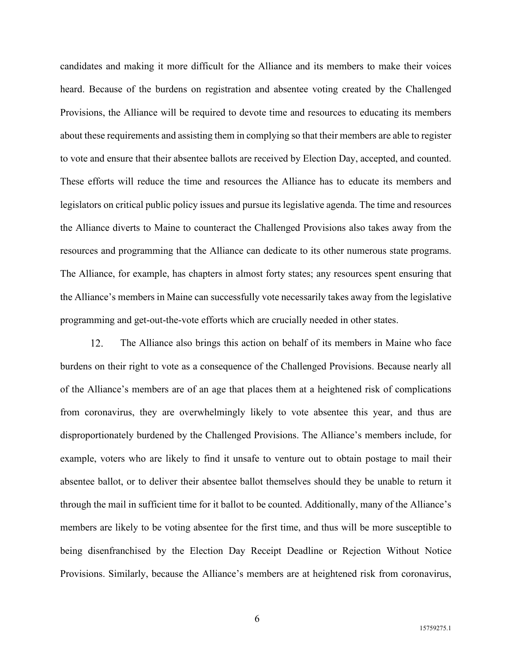candidates and making it more difficult for the Alliance and its members to make their voices heard. Because of the burdens on registration and absentee voting created by the Challenged Provisions, the Alliance will be required to devote time and resources to educating its members about these requirements and assisting them in complying so that their members are able to register to vote and ensure that their absentee ballots are received by Election Day, accepted, and counted. These efforts will reduce the time and resources the Alliance has to educate its members and legislators on critical public policy issues and pursue its legislative agenda. The time and resources the Alliance diverts to Maine to counteract the Challenged Provisions also takes away from the resources and programming that the Alliance can dedicate to its other numerous state programs. The Alliance, for example, has chapters in almost forty states; any resources spent ensuring that the Alliance's members in Maine can successfully vote necessarily takes away from the legislative programming and get-out-the-vote efforts which are crucially needed in other states.

The Alliance also brings this action on behalf of its members in Maine who face 12. burdens on their right to vote as a consequence of the Challenged Provisions. Because nearly all of the Alliance's members are of an age that places them at a heightened risk of complications from coronavirus, they are overwhelmingly likely to vote absentee this year, and thus are disproportionately burdened by the Challenged Provisions. The Alliance's members include, for example, voters who are likely to find it unsafe to venture out to obtain postage to mail their absentee ballot, or to deliver their absentee ballot themselves should they be unable to return it through the mail in sufficient time for it ballot to be counted. Additionally, many of the Alliance's members are likely to be voting absentee for the first time, and thus will be more susceptible to being disenfranchised by the Election Day Receipt Deadline or Rejection Without Notice Provisions. Similarly, because the Alliance's members are at heightened risk from coronavirus,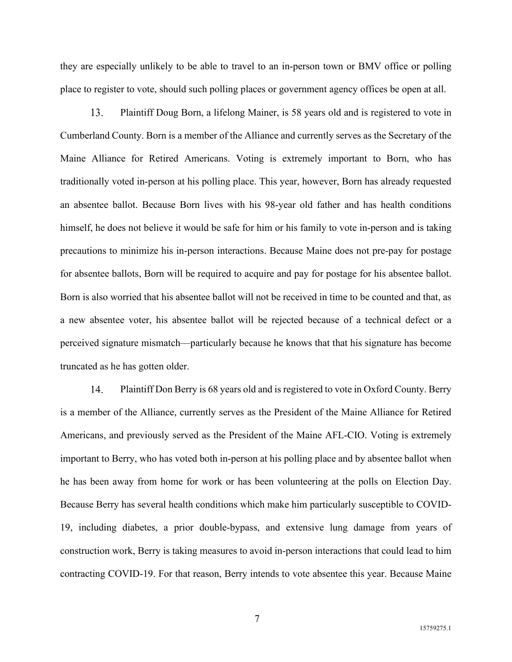they are especially unlikely to be able to travel to an in-person town or BMV office or polling place to register to vote, should such polling places or government agency offices be open at all.

13. Plaintiff Doug Born, a lifelong Mainer, is 58 years old and is registered to vote in Cumberland County. Born is a member of the Alliance and currently serves as the Secretary of the Maine Alliance for Retired Americans. Voting is extremely important to Born, who has traditionally voted in-person at his polling place. This year, however, Born has already requested an absentee ballot. Because Born lives with his 98-year old father and has health conditions himself, he does not believe it would be safe for him or his family to vote in-person and is taking precautions to minimize his in-person interactions. Because Maine does not pre-pay for postage for absentee ballots, Born will be required to acquire and pay for postage for his absentee ballot. Born is also worried that his absentee ballot will not be received in time to be counted and that, as a new absentee voter, his absentee ballot will be rejected because of a technical defect or a perceived signature mismatch—particularly because he knows that that his signature has become truncated as he has gotten older.

14. Plaintiff Don Berry is 68 years old and is registered to vote in Oxford County. Berry is a member of the Alliance, currently serves as the President of the Maine Alliance for Retired Americans, and previously served as the President of the Maine AFL-CIO. Voting is extremely important to Berry, who has voted both in-person at his polling place and by absentee ballot when he has been away from home for work or has been volunteering at the polls on Election Day. Because Berry has several health conditions which make him particularly susceptible to COVID-19, including diabetes, a prior double-bypass, and extensive lung damage from years of construction work, Berry is taking measures to avoid in-person interactions that could lead to him contracting COVID-19. For that reason, Berry intends to vote absentee this year. Because Maine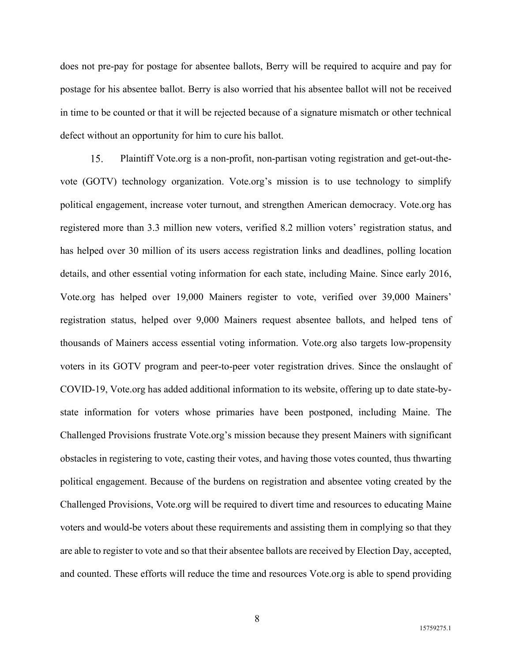does not pre-pay for postage for absentee ballots, Berry will be required to acquire and pay for postage for his absentee ballot. Berry is also worried that his absentee ballot will not be received in time to be counted or that it will be rejected because of a signature mismatch or other technical defect without an opportunity for him to cure his ballot.

15. Plaintiff Vote.org is a non-profit, non-partisan voting registration and get-out-thevote (GOTV) technology organization. Vote.org's mission is to use technology to simplify political engagement, increase voter turnout, and strengthen American democracy. Vote.org has registered more than 3.3 million new voters, verified 8.2 million voters' registration status, and has helped over 30 million of its users access registration links and deadlines, polling location details, and other essential voting information for each state, including Maine. Since early 2016, Vote.org has helped over 19,000 Mainers register to vote, verified over 39,000 Mainers' registration status, helped over 9,000 Mainers request absentee ballots, and helped tens of thousands of Mainers access essential voting information. Vote.org also targets low-propensity voters in its GOTV program and peer-to-peer voter registration drives. Since the onslaught of COVID-19, Vote.org has added additional information to its website, offering up to date state-bystate information for voters whose primaries have been postponed, including Maine. The Challenged Provisions frustrate Vote.org's mission because they present Mainers with significant obstacles in registering to vote, casting their votes, and having those votes counted, thus thwarting political engagement. Because of the burdens on registration and absentee voting created by the Challenged Provisions, Vote.org will be required to divert time and resources to educating Maine voters and would-be voters about these requirements and assisting them in complying so that they are able to register to vote and so that their absentee ballots are received by Election Day, accepted, and counted. These efforts will reduce the time and resources Vote.org is able to spend providing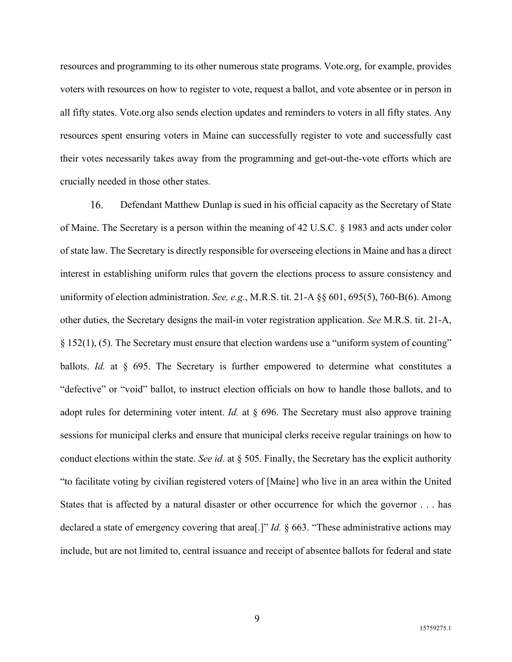resources and programming to its other numerous state programs. Vote.org, for example, provides voters with resources on how to register to vote, request a ballot, and vote absentee or in person in all fifty states. Vote.org also sends election updates and reminders to voters in all fifty states. Any resources spent ensuring voters in Maine can successfully register to vote and successfully cast their votes necessarily takes away from the programming and get-out-the-vote efforts which are crucially needed in those other states.

 $16.$ Defendant Matthew Dunlap is sued in his official capacity as the Secretary of State of Maine. The Secretary is a person within the meaning of 42 U.S.C. § 1983 and acts under color of state law. The Secretary is directly responsible for overseeing elections in Maine and has a direct interest in establishing uniform rules that govern the elections process to assure consistency and uniformity of election administration. *See, e.g.*, M.R.S. tit. 21-A §§ 601, 695(5), 760-B(6). Among other duties, the Secretary designs the mail-in voter registration application. *See* M.R.S. tit. 21-A, § 152(1), (5). The Secretary must ensure that election wardens use a "uniform system of counting" ballots. *Id.* at § 695. The Secretary is further empowered to determine what constitutes a "defective" or "void" ballot, to instruct election officials on how to handle those ballots, and to adopt rules for determining voter intent. *Id.* at § 696. The Secretary must also approve training sessions for municipal clerks and ensure that municipal clerks receive regular trainings on how to conduct elections within the state. *See id.* at § 505. Finally, the Secretary has the explicit authority "to facilitate voting by civilian registered voters of [Maine] who live in an area within the United States that is affected by a natural disaster or other occurrence for which the governor . . . has declared a state of emergency covering that area[.]" *Id.* § 663. "These administrative actions may include, but are not limited to, central issuance and receipt of absentee ballots for federal and state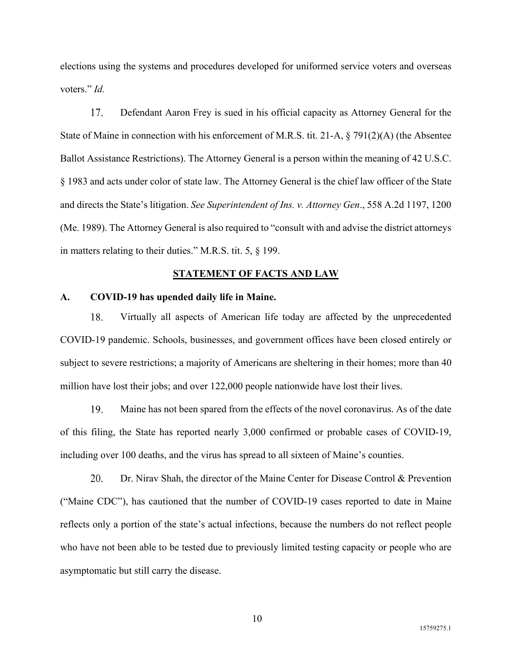elections using the systems and procedures developed for uniformed service voters and overseas voters." *Id.*

17. Defendant Aaron Frey is sued in his official capacity as Attorney General for the State of Maine in connection with his enforcement of M.R.S. tit. 21-A, § 791(2)(A) (the Absentee Ballot Assistance Restrictions). The Attorney General is a person within the meaning of 42 U.S.C. § 1983 and acts under color of state law. The Attorney General is the chief law officer of the State and directs the State's litigation. *See Superintendent of Ins. v. Attorney Gen*., 558 A.2d 1197, 1200 (Me. 1989). The Attorney General is also required to "consult with and advise the district attorneys in matters relating to their duties." M.R.S. tit. 5, § 199.

#### **STATEMENT OF FACTS AND LAW**

#### **A. COVID-19 has upended daily life in Maine.**

18. Virtually all aspects of American life today are affected by the unprecedented COVID-19 pandemic. Schools, businesses, and government offices have been closed entirely or subject to severe restrictions; a majority of Americans are sheltering in their homes; more than 40 million have lost their jobs; and over 122,000 people nationwide have lost their lives.

19. Maine has not been spared from the effects of the novel coronavirus. As of the date of this filing, the State has reported nearly 3,000 confirmed or probable cases of COVID-19, including over 100 deaths, and the virus has spread to all sixteen of Maine's counties.

20. Dr. Nirav Shah, the director of the Maine Center for Disease Control & Prevention ("Maine CDC"), has cautioned that the number of COVID-19 cases reported to date in Maine reflects only a portion of the state's actual infections, because the numbers do not reflect people who have not been able to be tested due to previously limited testing capacity or people who are asymptomatic but still carry the disease.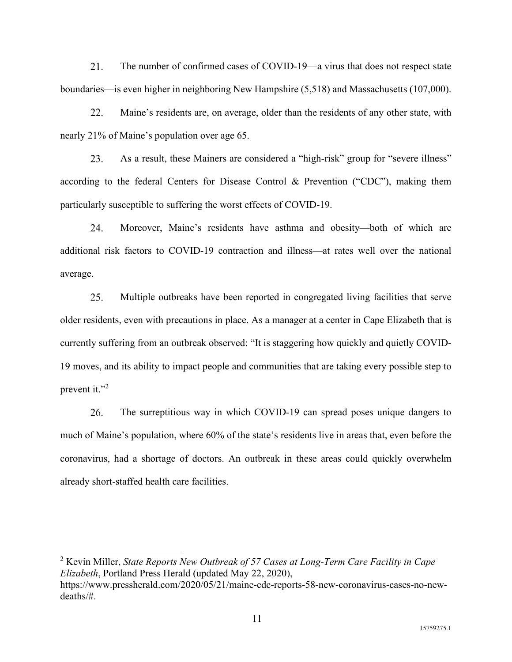$21$ The number of confirmed cases of COVID-19—a virus that does not respect state boundaries—is even higher in neighboring New Hampshire (5,518) and Massachusetts (107,000).

22. Maine's residents are, on average, older than the residents of any other state, with nearly 21% of Maine's population over age 65.

As a result, these Mainers are considered a "high-risk" group for "severe illness"  $23.$ according to the federal Centers for Disease Control & Prevention ("CDC"), making them particularly susceptible to suffering the worst effects of COVID-19.

Moreover, Maine's residents have asthma and obesity—both of which are 24. additional risk factors to COVID-19 contraction and illness—at rates well over the national average.

25. Multiple outbreaks have been reported in congregated living facilities that serve older residents, even with precautions in place. As a manager at a center in Cape Elizabeth that is currently suffering from an outbreak observed: "It is staggering how quickly and quietly COVID-19 moves, and its ability to impact people and communities that are taking every possible step to prevent it." $^2$ 

26. The surreptitious way in which COVID-19 can spread poses unique dangers to much of Maine's population, where 60% of the state's residents live in areas that, even before the coronavirus, had a shortage of doctors. An outbreak in these areas could quickly overwhelm already short-staffed health care facilities.

<sup>2</sup> Kevin Miller, *State Reports New Outbreak of 57 Cases at Long-Term Care Facility in Cape Elizabeth*, Portland Press Herald (updated May 22, 2020),

https://www.pressherald.com/2020/05/21/maine-cdc-reports-58-new-coronavirus-cases-no-newdeaths/#.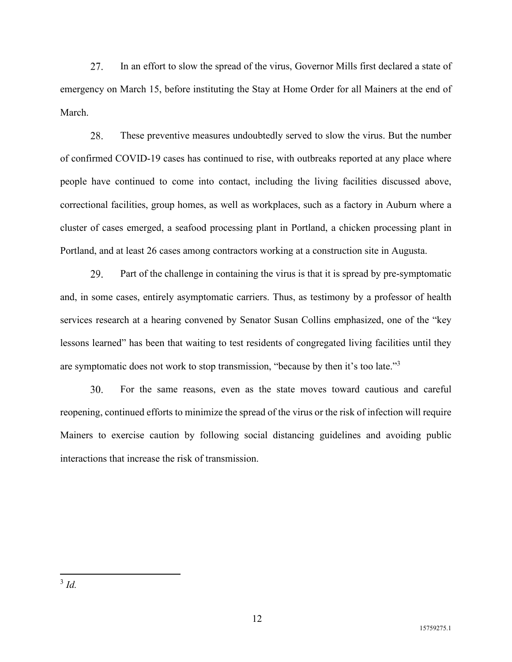$27<sub>1</sub>$ In an effort to slow the spread of the virus, Governor Mills first declared a state of emergency on March 15, before instituting the Stay at Home Order for all Mainers at the end of March.

28. These preventive measures undoubtedly served to slow the virus. But the number of confirmed COVID-19 cases has continued to rise, with outbreaks reported at any place where people have continued to come into contact, including the living facilities discussed above, correctional facilities, group homes, as well as workplaces, such as a factory in Auburn where a cluster of cases emerged, a seafood processing plant in Portland, a chicken processing plant in Portland, and at least 26 cases among contractors working at a construction site in Augusta.

29. Part of the challenge in containing the virus is that it is spread by pre-symptomatic and, in some cases, entirely asymptomatic carriers. Thus, as testimony by a professor of health services research at a hearing convened by Senator Susan Collins emphasized, one of the "key lessons learned" has been that waiting to test residents of congregated living facilities until they are symptomatic does not work to stop transmission, "because by then it's too late."<sup>3</sup>

30. For the same reasons, even as the state moves toward cautious and careful reopening, continued efforts to minimize the spread of the virus or the risk of infection will require Mainers to exercise caution by following social distancing guidelines and avoiding public interactions that increase the risk of transmission.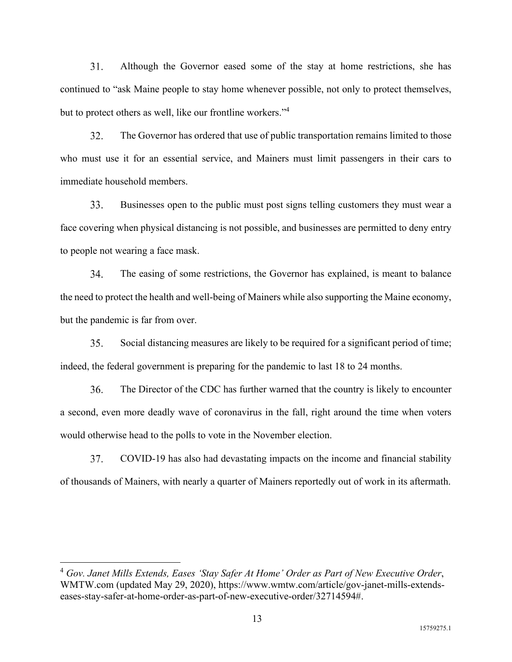$31<sub>1</sub>$ Although the Governor eased some of the stay at home restrictions, she has continued to "ask Maine people to stay home whenever possible, not only to protect themselves, but to protect others as well, like our frontline workers."<sup>4</sup>

32. The Governor has ordered that use of public transportation remains limited to those who must use it for an essential service, and Mainers must limit passengers in their cars to immediate household members.

33. Businesses open to the public must post signs telling customers they must wear a face covering when physical distancing is not possible, and businesses are permitted to deny entry to people not wearing a face mask.

34. The easing of some restrictions, the Governor has explained, is meant to balance the need to protect the health and well-being of Mainers while also supporting the Maine economy, but the pandemic is far from over.

Social distancing measures are likely to be required for a significant period of time; 35. indeed, the federal government is preparing for the pandemic to last 18 to 24 months.

36. The Director of the CDC has further warned that the country is likely to encounter a second, even more deadly wave of coronavirus in the fall, right around the time when voters would otherwise head to the polls to vote in the November election.

37. COVID-19 has also had devastating impacts on the income and financial stability of thousands of Mainers, with nearly a quarter of Mainers reportedly out of work in its aftermath.

<sup>4</sup> *Gov. Janet Mills Extends, Eases 'Stay Safer At Home' Order as Part of New Executive Order*, WMTW.com (updated May 29, 2020), https://www.wmtw.com/article/gov-janet-mills-extendseases-stay-safer-at-home-order-as-part-of-new-executive-order/32714594#.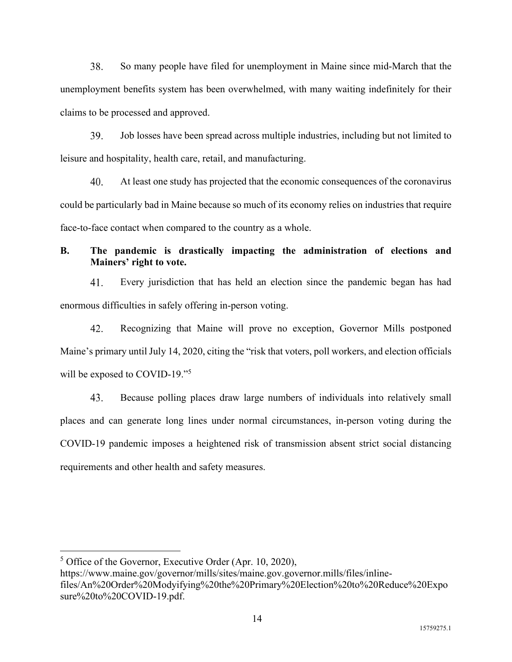38. So many people have filed for unemployment in Maine since mid-March that the unemployment benefits system has been overwhelmed, with many waiting indefinitely for their claims to be processed and approved.

39. Job losses have been spread across multiple industries, including but not limited to leisure and hospitality, health care, retail, and manufacturing.

40. At least one study has projected that the economic consequences of the coronavirus could be particularly bad in Maine because so much of its economy relies on industries that require face-to-face contact when compared to the country as a whole.

# **B. The pandemic is drastically impacting the administration of elections and Mainers' right to vote.**

41. Every jurisdiction that has held an election since the pandemic began has had enormous difficulties in safely offering in-person voting.

 $42.$ Recognizing that Maine will prove no exception, Governor Mills postponed Maine's primary until July 14, 2020, citing the "risk that voters, poll workers, and election officials will be exposed to COVID-19."<sup>5</sup>

43. Because polling places draw large numbers of individuals into relatively small places and can generate long lines under normal circumstances, in-person voting during the COVID-19 pandemic imposes a heightened risk of transmission absent strict social distancing requirements and other health and safety measures.

 $<sup>5</sup>$  Office of the Governor, Executive Order (Apr. 10, 2020),</sup>

https://www.maine.gov/governor/mills/sites/maine.gov.governor.mills/files/inlinefiles/An%20Order%20Modyifying%20the%20Primary%20Election%20to%20Reduce%20Expo sure%20to%20COVID-19.pdf.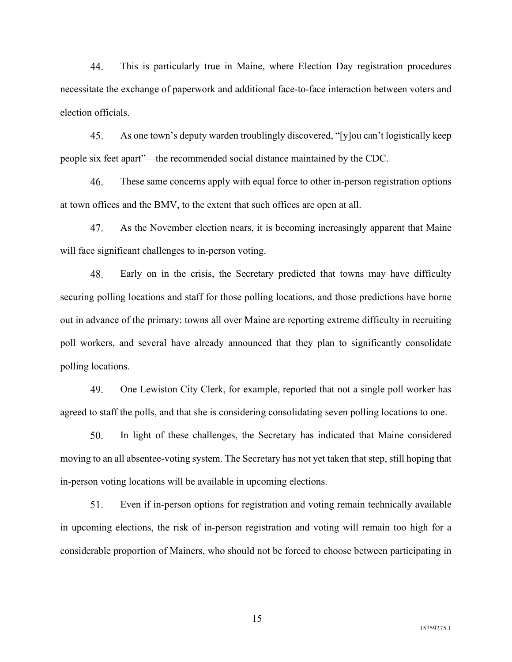44. This is particularly true in Maine, where Election Day registration procedures necessitate the exchange of paperwork and additional face-to-face interaction between voters and election officials.

45. As one town's deputy warden troublingly discovered, "[y]ou can't logistically keep people six feet apart"—the recommended social distance maintained by the CDC.

46. These same concerns apply with equal force to other in-person registration options at town offices and the BMV, to the extent that such offices are open at all.

As the November election nears, it is becoming increasingly apparent that Maine 47. will face significant challenges to in-person voting.

48. Early on in the crisis, the Secretary predicted that towns may have difficulty securing polling locations and staff for those polling locations, and those predictions have borne out in advance of the primary: towns all over Maine are reporting extreme difficulty in recruiting poll workers, and several have already announced that they plan to significantly consolidate polling locations.

49. One Lewiston City Clerk, for example, reported that not a single poll worker has agreed to staff the polls, and that she is considering consolidating seven polling locations to one.

50. In light of these challenges, the Secretary has indicated that Maine considered moving to an all absentee-voting system. The Secretary has not yet taken that step, still hoping that in-person voting locations will be available in upcoming elections.

51. Even if in-person options for registration and voting remain technically available in upcoming elections, the risk of in-person registration and voting will remain too high for a considerable proportion of Mainers, who should not be forced to choose between participating in

15759275.1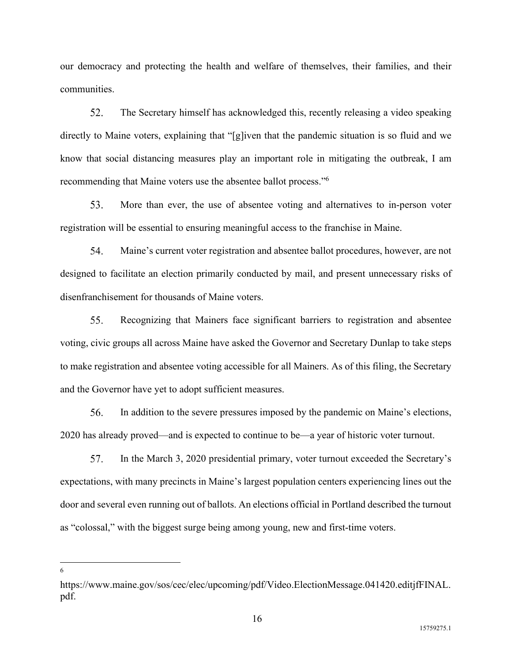our democracy and protecting the health and welfare of themselves, their families, and their communities.

52. The Secretary himself has acknowledged this, recently releasing a video speaking directly to Maine voters, explaining that "[g]iven that the pandemic situation is so fluid and we know that social distancing measures play an important role in mitigating the outbreak, I am recommending that Maine voters use the absentee ballot process."<sup>6</sup>

53. More than ever, the use of absentee voting and alternatives to in-person voter registration will be essential to ensuring meaningful access to the franchise in Maine.

54. Maine's current voter registration and absentee ballot procedures, however, are not designed to facilitate an election primarily conducted by mail, and present unnecessary risks of disenfranchisement for thousands of Maine voters.

55. Recognizing that Mainers face significant barriers to registration and absentee voting, civic groups all across Maine have asked the Governor and Secretary Dunlap to take steps to make registration and absentee voting accessible for all Mainers. As of this filing, the Secretary and the Governor have yet to adopt sufficient measures.

56. In addition to the severe pressures imposed by the pandemic on Maine's elections, 2020 has already proved—and is expected to continue to be—a year of historic voter turnout.

57. In the March 3, 2020 presidential primary, voter turnout exceeded the Secretary's expectations, with many precincts in Maine's largest population centers experiencing lines out the door and several even running out of ballots. An elections official in Portland described the turnout as "colossal," with the biggest surge being among young, new and first-time voters.

https://www.maine.gov/sos/cec/elec/upcoming/pdf/Video.ElectionMessage.041420.editjfFINAL. pdf.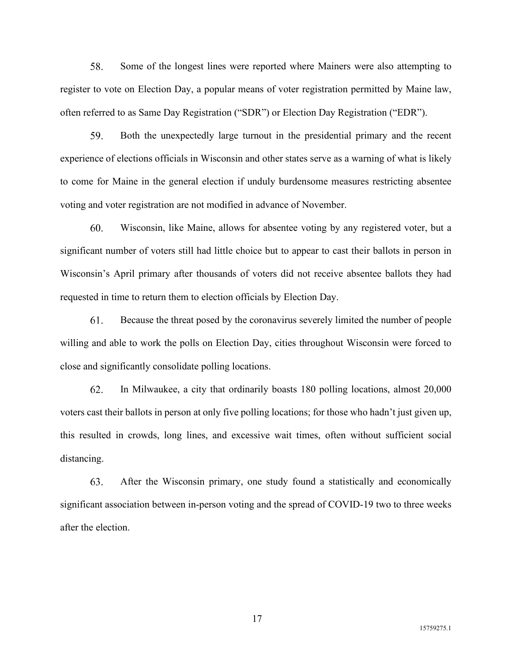58. Some of the longest lines were reported where Mainers were also attempting to register to vote on Election Day, a popular means of voter registration permitted by Maine law, often referred to as Same Day Registration ("SDR") or Election Day Registration ("EDR").

59. Both the unexpectedly large turnout in the presidential primary and the recent experience of elections officials in Wisconsin and other states serve as a warning of what is likely to come for Maine in the general election if unduly burdensome measures restricting absentee voting and voter registration are not modified in advance of November.

60. Wisconsin, like Maine, allows for absentee voting by any registered voter, but a significant number of voters still had little choice but to appear to cast their ballots in person in Wisconsin's April primary after thousands of voters did not receive absentee ballots they had requested in time to return them to election officials by Election Day.

61. Because the threat posed by the coronavirus severely limited the number of people willing and able to work the polls on Election Day, cities throughout Wisconsin were forced to close and significantly consolidate polling locations.

62. In Milwaukee, a city that ordinarily boasts 180 polling locations, almost 20,000 voters cast their ballots in person at only five polling locations; for those who hadn't just given up, this resulted in crowds, long lines, and excessive wait times, often without sufficient social distancing.

63. After the Wisconsin primary, one study found a statistically and economically significant association between in-person voting and the spread of COVID-19 two to three weeks after the election.

15759275.1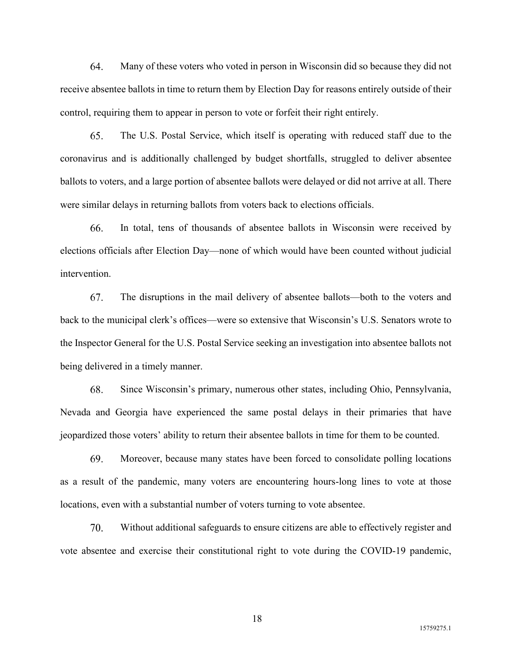64. Many of these voters who voted in person in Wisconsin did so because they did not receive absentee ballots in time to return them by Election Day for reasons entirely outside of their control, requiring them to appear in person to vote or forfeit their right entirely.

65. The U.S. Postal Service, which itself is operating with reduced staff due to the coronavirus and is additionally challenged by budget shortfalls, struggled to deliver absentee ballots to voters, and a large portion of absentee ballots were delayed or did not arrive at all. There were similar delays in returning ballots from voters back to elections officials.

66. In total, tens of thousands of absentee ballots in Wisconsin were received by elections officials after Election Day—none of which would have been counted without judicial intervention.

67. The disruptions in the mail delivery of absentee ballots—both to the voters and back to the municipal clerk's offices—were so extensive that Wisconsin's U.S. Senators wrote to the Inspector General for the U.S. Postal Service seeking an investigation into absentee ballots not being delivered in a timely manner.

68. Since Wisconsin's primary, numerous other states, including Ohio, Pennsylvania, Nevada and Georgia have experienced the same postal delays in their primaries that have jeopardized those voters' ability to return their absentee ballots in time for them to be counted.

69. Moreover, because many states have been forced to consolidate polling locations as a result of the pandemic, many voters are encountering hours-long lines to vote at those locations, even with a substantial number of voters turning to vote absentee.

70. Without additional safeguards to ensure citizens are able to effectively register and vote absentee and exercise their constitutional right to vote during the COVID-19 pandemic,

15759275.1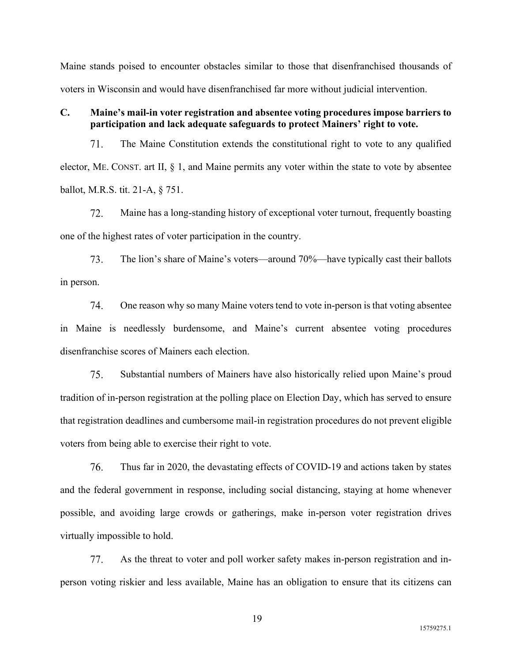Maine stands poised to encounter obstacles similar to those that disenfranchised thousands of voters in Wisconsin and would have disenfranchised far more without judicial intervention.

## **C. Maine's mail-in voter registration and absentee voting procedures impose barriers to participation and lack adequate safeguards to protect Mainers' right to vote.**

71. The Maine Constitution extends the constitutional right to vote to any qualified elector, ME. CONST. art II,  $\S$  1, and Maine permits any voter within the state to vote by absentee ballot, M.R.S. tit. 21-A, § 751.

 $72.$ Maine has a long-standing history of exceptional voter turnout, frequently boasting one of the highest rates of voter participation in the country.

73. The lion's share of Maine's voters—around 70%—have typically cast their ballots in person.

74. One reason why so many Maine voters tend to vote in-person is that voting absentee in Maine is needlessly burdensome, and Maine's current absentee voting procedures disenfranchise scores of Mainers each election.

75. Substantial numbers of Mainers have also historically relied upon Maine's proud tradition of in-person registration at the polling place on Election Day, which has served to ensure that registration deadlines and cumbersome mail-in registration procedures do not prevent eligible voters from being able to exercise their right to vote.

76. Thus far in 2020, the devastating effects of COVID-19 and actions taken by states and the federal government in response, including social distancing, staying at home whenever possible, and avoiding large crowds or gatherings, make in-person voter registration drives virtually impossible to hold.

77. As the threat to voter and poll worker safety makes in-person registration and inperson voting riskier and less available, Maine has an obligation to ensure that its citizens can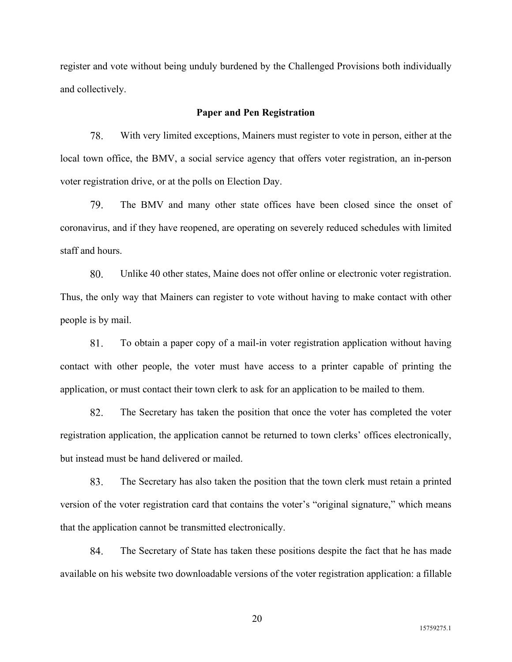register and vote without being unduly burdened by the Challenged Provisions both individually and collectively.

## **Paper and Pen Registration**

78. With very limited exceptions, Mainers must register to vote in person, either at the local town office, the BMV, a social service agency that offers voter registration, an in-person voter registration drive, or at the polls on Election Day.

79. The BMV and many other state offices have been closed since the onset of coronavirus, and if they have reopened, are operating on severely reduced schedules with limited staff and hours.

80. Unlike 40 other states, Maine does not offer online or electronic voter registration. Thus, the only way that Mainers can register to vote without having to make contact with other people is by mail.

To obtain a paper copy of a mail-in voter registration application without having 81. contact with other people, the voter must have access to a printer capable of printing the application, or must contact their town clerk to ask for an application to be mailed to them.

82. The Secretary has taken the position that once the voter has completed the voter registration application, the application cannot be returned to town clerks' offices electronically, but instead must be hand delivered or mailed.

83. The Secretary has also taken the position that the town clerk must retain a printed version of the voter registration card that contains the voter's "original signature," which means that the application cannot be transmitted electronically.

84. The Secretary of State has taken these positions despite the fact that he has made available on his website two downloadable versions of the voter registration application: a fillable

15759275.1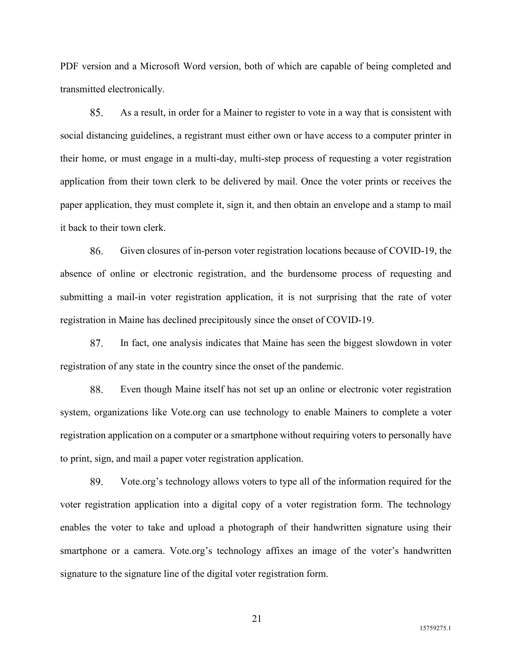PDF version and a Microsoft Word version, both of which are capable of being completed and transmitted electronically.

85. As a result, in order for a Mainer to register to vote in a way that is consistent with social distancing guidelines, a registrant must either own or have access to a computer printer in their home, or must engage in a multi-day, multi-step process of requesting a voter registration application from their town clerk to be delivered by mail. Once the voter prints or receives the paper application, they must complete it, sign it, and then obtain an envelope and a stamp to mail it back to their town clerk.

86. Given closures of in-person voter registration locations because of COVID-19, the absence of online or electronic registration, and the burdensome process of requesting and submitting a mail-in voter registration application, it is not surprising that the rate of voter registration in Maine has declined precipitously since the onset of COVID-19.

In fact, one analysis indicates that Maine has seen the biggest slowdown in voter 87. registration of any state in the country since the onset of the pandemic.

88. Even though Maine itself has not set up an online or electronic voter registration system, organizations like Vote.org can use technology to enable Mainers to complete a voter registration application on a computer or a smartphone without requiring voters to personally have to print, sign, and mail a paper voter registration application.

89. Vote.org's technology allows voters to type all of the information required for the voter registration application into a digital copy of a voter registration form. The technology enables the voter to take and upload a photograph of their handwritten signature using their smartphone or a camera. Vote.org's technology affixes an image of the voter's handwritten signature to the signature line of the digital voter registration form.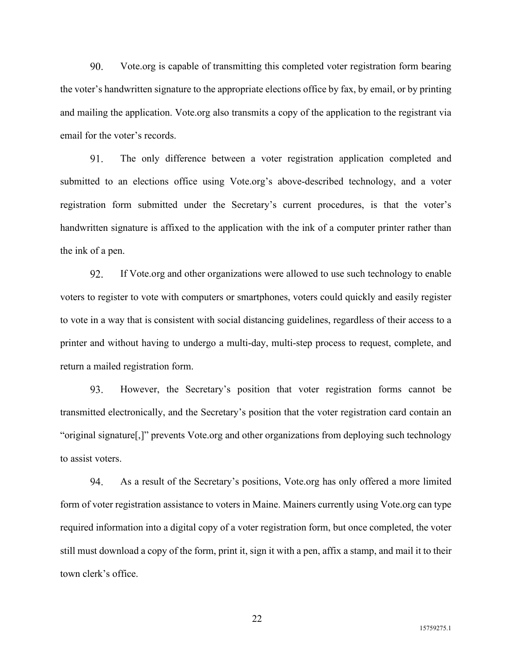90. Vote.org is capable of transmitting this completed voter registration form bearing the voter's handwritten signature to the appropriate elections office by fax, by email, or by printing and mailing the application. Vote.org also transmits a copy of the application to the registrant via email for the voter's records.

 $91<sub>1</sub>$ The only difference between a voter registration application completed and submitted to an elections office using Vote.org's above-described technology, and a voter registration form submitted under the Secretary's current procedures, is that the voter's handwritten signature is affixed to the application with the ink of a computer printer rather than the ink of a pen.

92. If Vote.org and other organizations were allowed to use such technology to enable voters to register to vote with computers or smartphones, voters could quickly and easily register to vote in a way that is consistent with social distancing guidelines, regardless of their access to a printer and without having to undergo a multi-day, multi-step process to request, complete, and return a mailed registration form.

93. However, the Secretary's position that voter registration forms cannot be transmitted electronically, and the Secretary's position that the voter registration card contain an "original signature[,]" prevents Vote.org and other organizations from deploying such technology to assist voters.

94. As a result of the Secretary's positions, Vote.org has only offered a more limited form of voter registration assistance to voters in Maine. Mainers currently using Vote.org can type required information into a digital copy of a voter registration form, but once completed, the voter still must download a copy of the form, print it, sign it with a pen, affix a stamp, and mail it to their town clerk's office.

15759275.1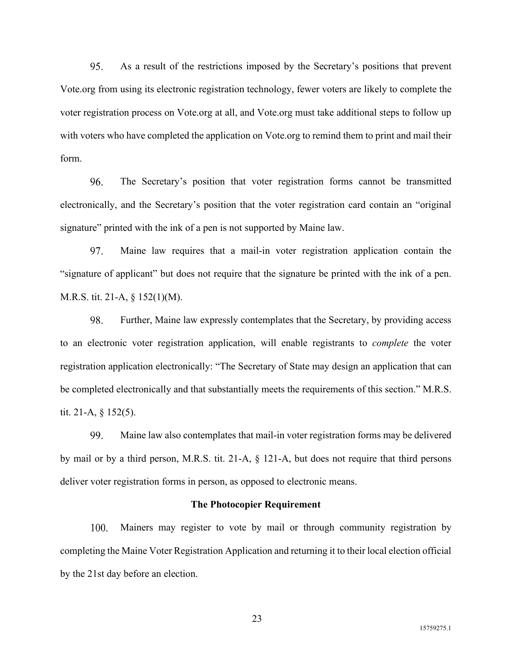95. As a result of the restrictions imposed by the Secretary's positions that prevent Vote.org from using its electronic registration technology, fewer voters are likely to complete the voter registration process on Vote.org at all, and Vote.org must take additional steps to follow up with voters who have completed the application on Vote.org to remind them to print and mail their form.

96. The Secretary's position that voter registration forms cannot be transmitted electronically, and the Secretary's position that the voter registration card contain an "original signature" printed with the ink of a pen is not supported by Maine law.

97. Maine law requires that a mail-in voter registration application contain the "signature of applicant" but does not require that the signature be printed with the ink of a pen. M.R.S. tit. 21-A, § 152(1)(M).

98. Further, Maine law expressly contemplates that the Secretary, by providing access to an electronic voter registration application, will enable registrants to *complete* the voter registration application electronically: "The Secretary of State may design an application that can be completed electronically and that substantially meets the requirements of this section." M.R.S. tit. 21-A, § 152(5).

99. Maine law also contemplates that mail-in voter registration forms may be delivered by mail or by a third person, M.R.S. tit. 21-A, § 121-A, but does not require that third persons deliver voter registration forms in person, as opposed to electronic means.

#### **The Photocopier Requirement**

100. Mainers may register to vote by mail or through community registration by completing the Maine Voter Registration Application and returning it to their local election official by the 21st day before an election.

15759275.1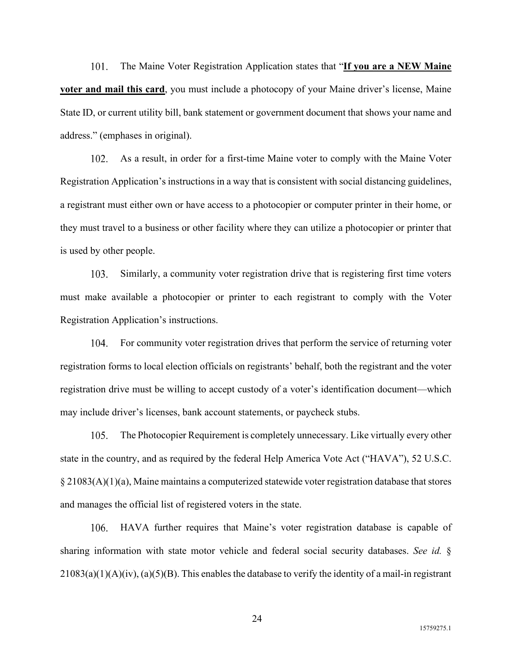101. The Maine Voter Registration Application states that "**If you are a NEW Maine voter and mail this card**, you must include a photocopy of your Maine driver's license, Maine State ID, or current utility bill, bank statement or government document that shows your name and address." (emphases in original).

102. As a result, in order for a first-time Maine voter to comply with the Maine Voter Registration Application's instructions in a way that is consistent with social distancing guidelines, a registrant must either own or have access to a photocopier or computer printer in their home, or they must travel to a business or other facility where they can utilize a photocopier or printer that is used by other people.

103. Similarly, a community voter registration drive that is registering first time voters must make available a photocopier or printer to each registrant to comply with the Voter Registration Application's instructions.

For community voter registration drives that perform the service of returning voter 104. registration forms to local election officials on registrants' behalf, both the registrant and the voter registration drive must be willing to accept custody of a voter's identification document—which may include driver's licenses, bank account statements, or paycheck stubs.

105. The Photocopier Requirement is completely unnecessary. Like virtually every other state in the country, and as required by the federal Help America Vote Act ("HAVA"), 52 U.S.C. § 21083(A)(1)(a), Maine maintains a computerized statewide voter registration database that stores and manages the official list of registered voters in the state.

106. HAVA further requires that Maine's voter registration database is capable of sharing information with state motor vehicle and federal social security databases. *See id.* §  $21083(a)(1)(A)(iv)$ ,  $(a)(5)(B)$ . This enables the database to verify the identity of a mail-in registrant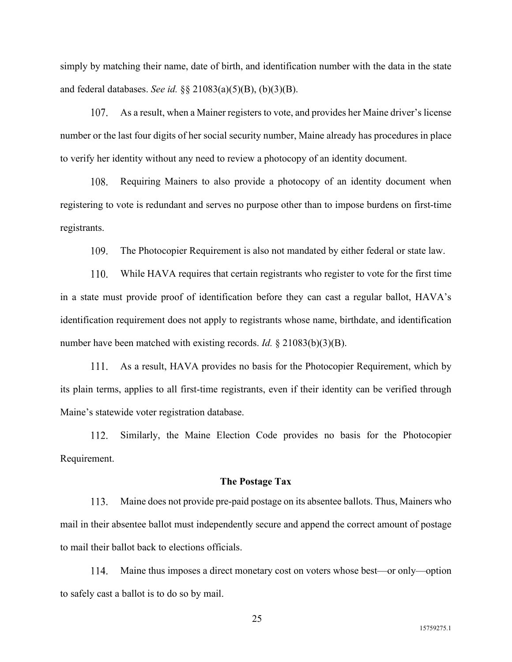simply by matching their name, date of birth, and identification number with the data in the state and federal databases. *See id.* §§ 21083(a)(5)(B), (b)(3)(B).

107. As a result, when a Mainer registers to vote, and provides her Maine driver's license number or the last four digits of her social security number, Maine already has procedures in place to verify her identity without any need to review a photocopy of an identity document.

108. Requiring Mainers to also provide a photocopy of an identity document when registering to vote is redundant and serves no purpose other than to impose burdens on first-time registrants.

109. The Photocopier Requirement is also not mandated by either federal or state law.

While HAVA requires that certain registrants who register to vote for the first time 110. in a state must provide proof of identification before they can cast a regular ballot, HAVA's identification requirement does not apply to registrants whose name, birthdate, and identification number have been matched with existing records. *Id.* § 21083(b)(3)(B).

As a result, HAVA provides no basis for the Photocopier Requirement, which by its plain terms, applies to all first-time registrants, even if their identity can be verified through Maine's statewide voter registration database.

Similarly, the Maine Election Code provides no basis for the Photocopier 112. Requirement.

#### **The Postage Tax**

113. Maine does not provide pre-paid postage on its absentee ballots. Thus, Mainers who mail in their absentee ballot must independently secure and append the correct amount of postage to mail their ballot back to elections officials.

Maine thus imposes a direct monetary cost on voters whose best—or only—option 114. to safely cast a ballot is to do so by mail.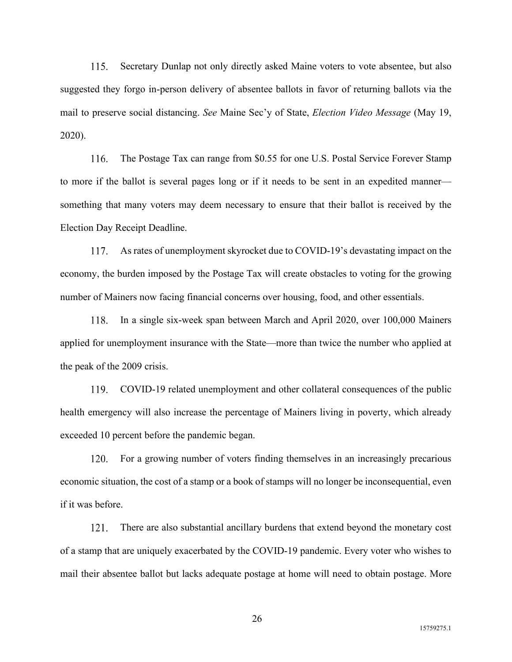115. Secretary Dunlap not only directly asked Maine voters to vote absentee, but also suggested they forgo in-person delivery of absentee ballots in favor of returning ballots via the mail to preserve social distancing. *See* Maine Sec'y of State, *Election Video Message* (May 19, 2020).

116. The Postage Tax can range from \$0.55 for one U.S. Postal Service Forever Stamp to more if the ballot is several pages long or if it needs to be sent in an expedited manner something that many voters may deem necessary to ensure that their ballot is received by the Election Day Receipt Deadline.

As rates of unemployment skyrocket due to COVID-19's devastating impact on the 117. economy, the burden imposed by the Postage Tax will create obstacles to voting for the growing number of Mainers now facing financial concerns over housing, food, and other essentials.

In a single six-week span between March and April 2020, over 100,000 Mainers 118. applied for unemployment insurance with the State—more than twice the number who applied at the peak of the 2009 crisis.

119. COVID-19 related unemployment and other collateral consequences of the public health emergency will also increase the percentage of Mainers living in poverty, which already exceeded 10 percent before the pandemic began.

For a growing number of voters finding themselves in an increasingly precarious 120. economic situation, the cost of a stamp or a book of stamps will no longer be inconsequential, even if it was before.

 $121.$ There are also substantial ancillary burdens that extend beyond the monetary cost of a stamp that are uniquely exacerbated by the COVID-19 pandemic. Every voter who wishes to mail their absentee ballot but lacks adequate postage at home will need to obtain postage. More

15759275.1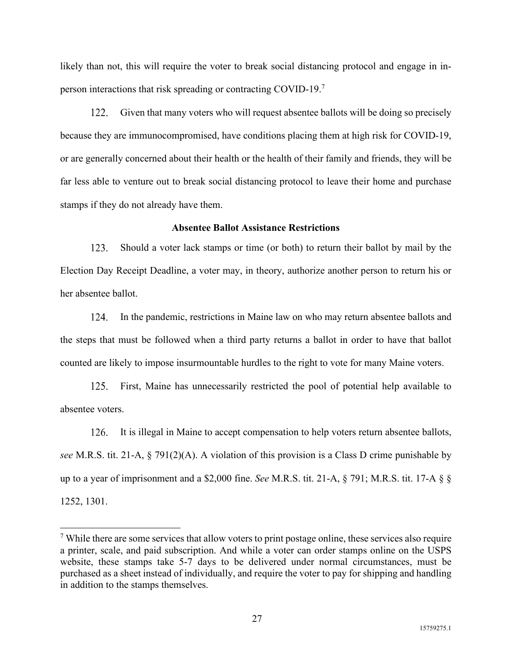likely than not, this will require the voter to break social distancing protocol and engage in inperson interactions that risk spreading or contracting COVID-19.<sup>7</sup>

 $122.$ Given that many voters who will request absentee ballots will be doing so precisely because they are immunocompromised, have conditions placing them at high risk for COVID-19, or are generally concerned about their health or the health of their family and friends, they will be far less able to venture out to break social distancing protocol to leave their home and purchase stamps if they do not already have them.

#### **Absentee Ballot Assistance Restrictions**

123. Should a voter lack stamps or time (or both) to return their ballot by mail by the Election Day Receipt Deadline, a voter may, in theory, authorize another person to return his or her absentee ballot.

124. In the pandemic, restrictions in Maine law on who may return absentee ballots and the steps that must be followed when a third party returns a ballot in order to have that ballot counted are likely to impose insurmountable hurdles to the right to vote for many Maine voters.

 $125.$ First, Maine has unnecessarily restricted the pool of potential help available to absentee voters.

It is illegal in Maine to accept compensation to help voters return absentee ballots, 126. *see* M.R.S. tit. 21-A, § 791(2)(A). A violation of this provision is a Class D crime punishable by up to a year of imprisonment and a \$2,000 fine. *See* M.R.S. tit. 21-A, § 791; M.R.S. tit. 17-A § § 1252, 1301.

 $7$  While there are some services that allow voters to print postage online, these services also require a printer, scale, and paid subscription. And while a voter can order stamps online on the USPS website, these stamps take 5-7 days to be delivered under normal circumstances, must be purchased as a sheet instead of individually, and require the voter to pay for shipping and handling in addition to the stamps themselves.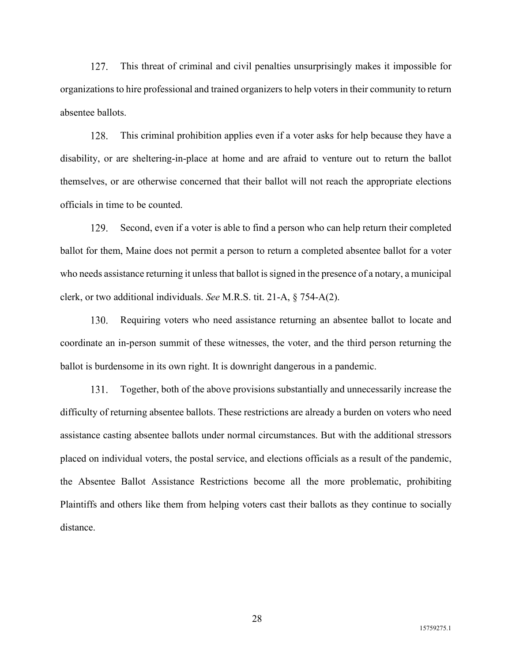127. This threat of criminal and civil penalties unsurprisingly makes it impossible for organizations to hire professional and trained organizers to help voters in their community to return absentee ballots.

128. This criminal prohibition applies even if a voter asks for help because they have a disability, or are sheltering-in-place at home and are afraid to venture out to return the ballot themselves, or are otherwise concerned that their ballot will not reach the appropriate elections officials in time to be counted.

129. Second, even if a voter is able to find a person who can help return their completed ballot for them, Maine does not permit a person to return a completed absentee ballot for a voter who needs assistance returning it unless that ballot is signed in the presence of a notary, a municipal clerk, or two additional individuals. *See* M.R.S. tit. 21-A, § 754-A(2).

130. Requiring voters who need assistance returning an absentee ballot to locate and coordinate an in-person summit of these witnesses, the voter, and the third person returning the ballot is burdensome in its own right. It is downright dangerous in a pandemic.

131. Together, both of the above provisions substantially and unnecessarily increase the difficulty of returning absentee ballots. These restrictions are already a burden on voters who need assistance casting absentee ballots under normal circumstances. But with the additional stressors placed on individual voters, the postal service, and elections officials as a result of the pandemic, the Absentee Ballot Assistance Restrictions become all the more problematic, prohibiting Plaintiffs and others like them from helping voters cast their ballots as they continue to socially distance.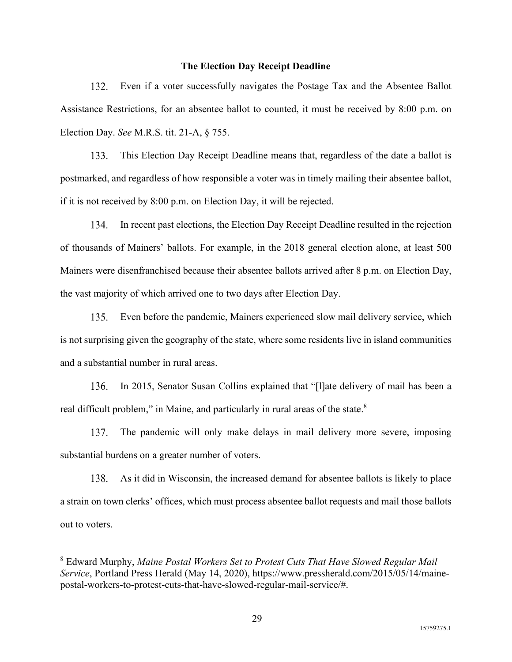#### **The Election Day Receipt Deadline**

Even if a voter successfully navigates the Postage Tax and the Absentee Ballot 132. Assistance Restrictions, for an absentee ballot to counted, it must be received by 8:00 p.m. on Election Day. *See* M.R.S. tit. 21-A, § 755.

This Election Day Receipt Deadline means that, regardless of the date a ballot is  $133.$ postmarked, and regardless of how responsible a voter was in timely mailing their absentee ballot, if it is not received by 8:00 p.m. on Election Day, it will be rejected.

In recent past elections, the Election Day Receipt Deadline resulted in the rejection 134. of thousands of Mainers' ballots. For example, in the 2018 general election alone, at least 500 Mainers were disenfranchised because their absentee ballots arrived after 8 p.m. on Election Day, the vast majority of which arrived one to two days after Election Day.

Even before the pandemic, Mainers experienced slow mail delivery service, which 135. is not surprising given the geography of the state, where some residents live in island communities and a substantial number in rural areas.

136. In 2015, Senator Susan Collins explained that "[l]ate delivery of mail has been a real difficult problem," in Maine, and particularly in rural areas of the state. $8$ 

137. The pandemic will only make delays in mail delivery more severe, imposing substantial burdens on a greater number of voters.

138. As it did in Wisconsin, the increased demand for absentee ballots is likely to place a strain on town clerks' offices, which must process absentee ballot requests and mail those ballots out to voters.

<sup>8</sup> Edward Murphy, *Maine Postal Workers Set to Protest Cuts That Have Slowed Regular Mail Service*, Portland Press Herald (May 14, 2020), https://www.pressherald.com/2015/05/14/mainepostal-workers-to-protest-cuts-that-have-slowed-regular-mail-service/#.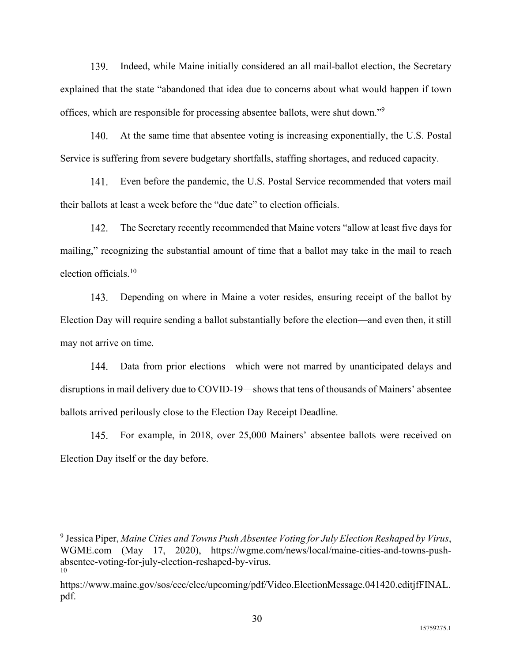139. Indeed, while Maine initially considered an all mail-ballot election, the Secretary explained that the state "abandoned that idea due to concerns about what would happen if town offices, which are responsible for processing absentee ballots, were shut down."<sup>9</sup>

140. At the same time that absentee voting is increasing exponentially, the U.S. Postal Service is suffering from severe budgetary shortfalls, staffing shortages, and reduced capacity.

 $141.$ Even before the pandemic, the U.S. Postal Service recommended that voters mail their ballots at least a week before the "due date" to election officials.

The Secretary recently recommended that Maine voters "allow at least five days for 142. mailing," recognizing the substantial amount of time that a ballot may take in the mail to reach election officials.<sup>10</sup>

143. Depending on where in Maine a voter resides, ensuring receipt of the ballot by Election Day will require sending a ballot substantially before the election—and even then, it still may not arrive on time.

144. Data from prior elections—which were not marred by unanticipated delays and disruptions in mail delivery due to COVID-19—shows that tens of thousands of Mainers' absentee ballots arrived perilously close to the Election Day Receipt Deadline.

For example, in 2018, over 25,000 Mainers' absentee ballots were received on 145. Election Day itself or the day before.

<sup>9</sup> Jessica Piper, *Maine Cities and Towns Push Absentee Voting for July Election Reshaped by Virus*, WGME.com (May 17, 2020), https://wgme.com/news/local/maine-cities-and-towns-pushabsentee-voting-for-july-election-reshaped-by-virus. 10

https://www.maine.gov/sos/cec/elec/upcoming/pdf/Video.ElectionMessage.041420.editjfFINAL. pdf.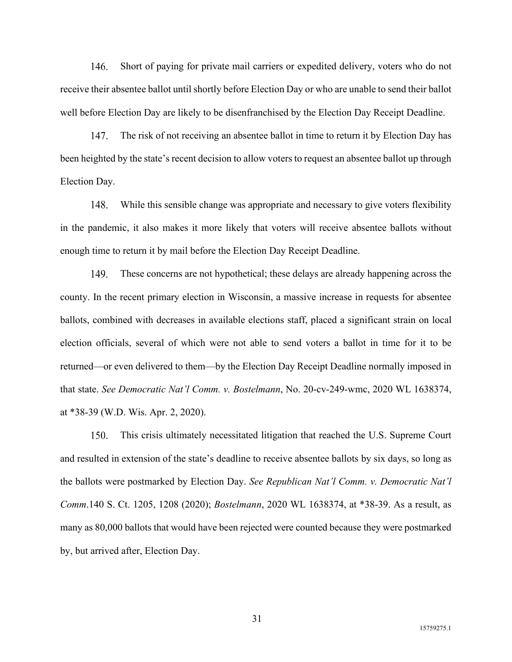146. Short of paying for private mail carriers or expedited delivery, voters who do not receive their absentee ballot until shortly before Election Day or who are unable to send their ballot well before Election Day are likely to be disenfranchised by the Election Day Receipt Deadline.

147. The risk of not receiving an absentee ballot in time to return it by Election Day has been heighted by the state's recent decision to allow voters to request an absentee ballot up through Election Day.

148. While this sensible change was appropriate and necessary to give voters flexibility in the pandemic, it also makes it more likely that voters will receive absentee ballots without enough time to return it by mail before the Election Day Receipt Deadline.

149. These concerns are not hypothetical; these delays are already happening across the county. In the recent primary election in Wisconsin, a massive increase in requests for absentee ballots, combined with decreases in available elections staff, placed a significant strain on local election officials, several of which were not able to send voters a ballot in time for it to be returned—or even delivered to them—by the Election Day Receipt Deadline normally imposed in that state. *See Democratic Nat'l Comm. v. Bostelmann*, No. 20-cv-249-wmc, 2020 WL 1638374, at \*38-39 (W.D. Wis. Apr. 2, 2020).

This crisis ultimately necessitated litigation that reached the U.S. Supreme Court 150. and resulted in extension of the state's deadline to receive absentee ballots by six days, so long as the ballots were postmarked by Election Day. *See Republican Nat'l Comm. v. Democratic Nat'l Comm*.140 S. Ct. 1205, 1208 (2020); *Bostelmann*, 2020 WL 1638374, at \*38-39. As a result, as many as 80,000 ballots that would have been rejected were counted because they were postmarked by, but arrived after, Election Day.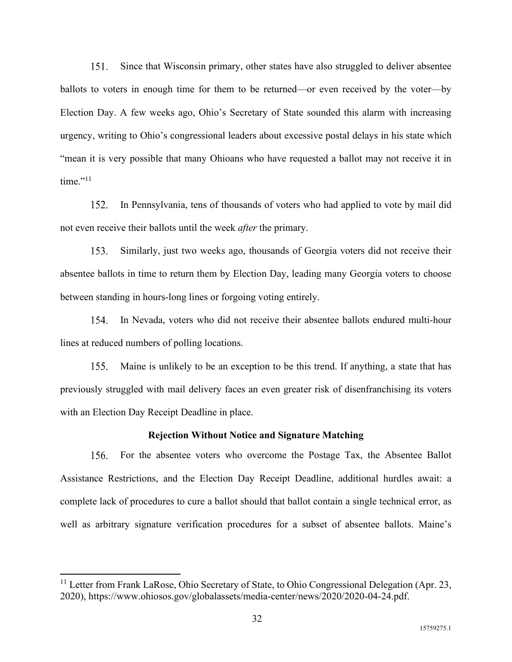$151.$ Since that Wisconsin primary, other states have also struggled to deliver absentee ballots to voters in enough time for them to be returned—or even received by the voter—by Election Day. A few weeks ago, Ohio's Secretary of State sounded this alarm with increasing urgency, writing to Ohio's congressional leaders about excessive postal delays in his state which "mean it is very possible that many Ohioans who have requested a ballot may not receive it in  $time."$ <sup>11</sup>

 $152.$ In Pennsylvania, tens of thousands of voters who had applied to vote by mail did not even receive their ballots until the week *after* the primary.

 $153.$ Similarly, just two weeks ago, thousands of Georgia voters did not receive their absentee ballots in time to return them by Election Day, leading many Georgia voters to choose between standing in hours-long lines or forgoing voting entirely.

154. In Nevada, voters who did not receive their absentee ballots endured multi-hour lines at reduced numbers of polling locations.

 $155.$ Maine is unlikely to be an exception to be this trend. If anything, a state that has previously struggled with mail delivery faces an even greater risk of disenfranchising its voters with an Election Day Receipt Deadline in place.

#### **Rejection Without Notice and Signature Matching**

156. For the absentee voters who overcome the Postage Tax, the Absentee Ballot Assistance Restrictions, and the Election Day Receipt Deadline, additional hurdles await: a complete lack of procedures to cure a ballot should that ballot contain a single technical error, as well as arbitrary signature verification procedures for a subset of absentee ballots. Maine's

<sup>&</sup>lt;sup>11</sup> Letter from Frank LaRose, Ohio Secretary of State, to Ohio Congressional Delegation (Apr. 23, 2020), https://www.ohiosos.gov/globalassets/media-center/news/2020/2020-04-24.pdf.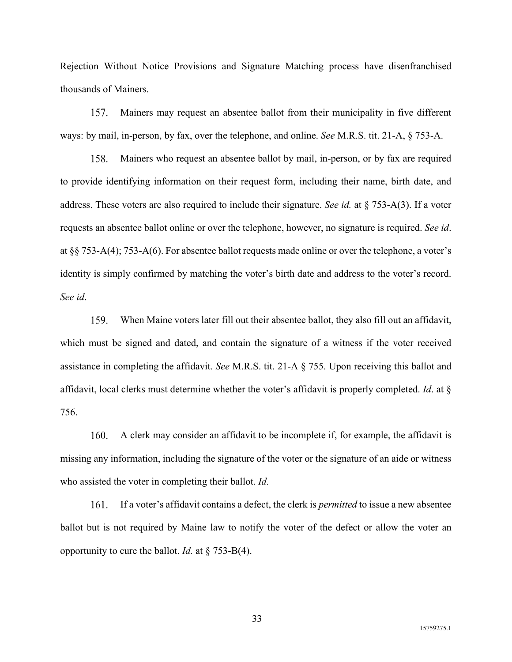Rejection Without Notice Provisions and Signature Matching process have disenfranchised thousands of Mainers.

Mainers may request an absentee ballot from their municipality in five different 157. ways: by mail, in-person, by fax, over the telephone, and online. *See* M.R.S. tit. 21-A, § 753-A.

Mainers who request an absentee ballot by mail, in-person, or by fax are required 158. to provide identifying information on their request form, including their name, birth date, and address. These voters are also required to include their signature. *See id.* at § 753-A(3). If a voter requests an absentee ballot online or over the telephone, however, no signature is required. *See id*. at §§ 753-A(4); 753-A(6). For absentee ballot requests made online or over the telephone, a voter's identity is simply confirmed by matching the voter's birth date and address to the voter's record. *See id*.

159. When Maine voters later fill out their absentee ballot, they also fill out an affidavit, which must be signed and dated, and contain the signature of a witness if the voter received assistance in completing the affidavit. *See* M.R.S. tit. 21-A § 755. Upon receiving this ballot and affidavit, local clerks must determine whether the voter's affidavit is properly completed. *Id*. at § 756.

A clerk may consider an affidavit to be incomplete if, for example, the affidavit is 160. missing any information, including the signature of the voter or the signature of an aide or witness who assisted the voter in completing their ballot. *Id.*

If a voter's affidavit contains a defect, the clerk is *permitted* to issue a new absentee 161. ballot but is not required by Maine law to notify the voter of the defect or allow the voter an opportunity to cure the ballot. *Id.* at § 753-B(4).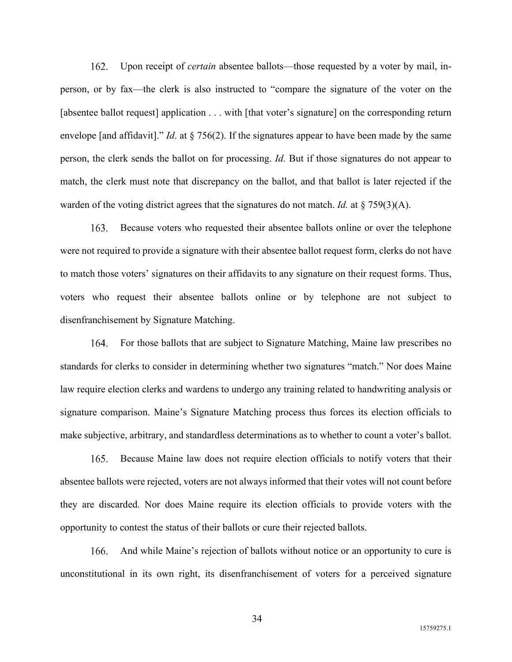$162.$ Upon receipt of *certain* absentee ballots—those requested by a voter by mail, inperson, or by fax—the clerk is also instructed to "compare the signature of the voter on the [absentee ballot request] application . . . with [that voter's signature] on the corresponding return envelope [and affidavit]." *Id*. at § 756(2). If the signatures appear to have been made by the same person, the clerk sends the ballot on for processing. *Id.* But if those signatures do not appear to match, the clerk must note that discrepancy on the ballot, and that ballot is later rejected if the warden of the voting district agrees that the signatures do not match. *Id.* at  $\S$  759(3)(A).

163. Because voters who requested their absentee ballots online or over the telephone were not required to provide a signature with their absentee ballot request form, clerks do not have to match those voters' signatures on their affidavits to any signature on their request forms. Thus, voters who request their absentee ballots online or by telephone are not subject to disenfranchisement by Signature Matching.

For those ballots that are subject to Signature Matching, Maine law prescribes no 164. standards for clerks to consider in determining whether two signatures "match." Nor does Maine law require election clerks and wardens to undergo any training related to handwriting analysis or signature comparison. Maine's Signature Matching process thus forces its election officials to make subjective, arbitrary, and standardless determinations as to whether to count a voter's ballot.

Because Maine law does not require election officials to notify voters that their 165. absentee ballots were rejected, voters are not always informed that their votes will not count before they are discarded. Nor does Maine require its election officials to provide voters with the opportunity to contest the status of their ballots or cure their rejected ballots.

166. And while Maine's rejection of ballots without notice or an opportunity to cure is unconstitutional in its own right, its disenfranchisement of voters for a perceived signature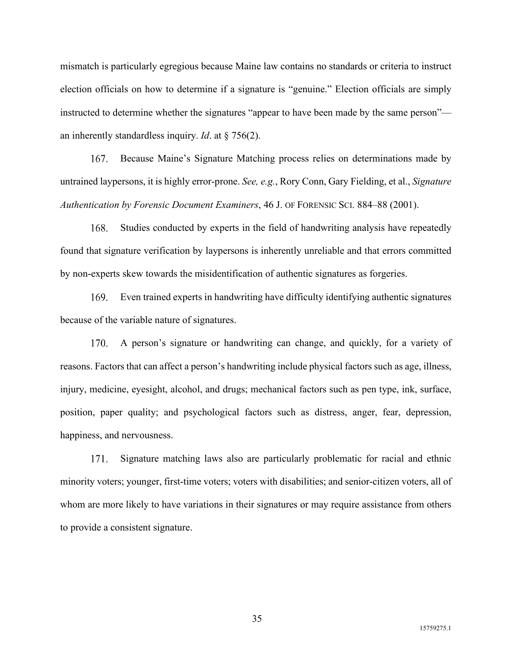mismatch is particularly egregious because Maine law contains no standards or criteria to instruct election officials on how to determine if a signature is "genuine." Election officials are simply instructed to determine whether the signatures "appear to have been made by the same person" an inherently standardless inquiry. *Id*. at § 756(2).

Because Maine's Signature Matching process relies on determinations made by 167. untrained laypersons, it is highly error-prone. *See, e.g.*, Rory Conn, Gary Fielding, et al., *Signature Authentication by Forensic Document Examiners*, 46 J. OF FORENSIC SCI. 884–88 (2001).

Studies conducted by experts in the field of handwriting analysis have repeatedly 168. found that signature verification by laypersons is inherently unreliable and that errors committed by non-experts skew towards the misidentification of authentic signatures as forgeries.

169. Even trained experts in handwriting have difficulty identifying authentic signatures because of the variable nature of signatures.

A person's signature or handwriting can change, and quickly, for a variety of 170. reasons. Factors that can affect a person's handwriting include physical factors such as age, illness, injury, medicine, eyesight, alcohol, and drugs; mechanical factors such as pen type, ink, surface, position, paper quality; and psychological factors such as distress, anger, fear, depression, happiness, and nervousness.

Signature matching laws also are particularly problematic for racial and ethnic 171. minority voters; younger, first-time voters; voters with disabilities; and senior-citizen voters, all of whom are more likely to have variations in their signatures or may require assistance from others to provide a consistent signature.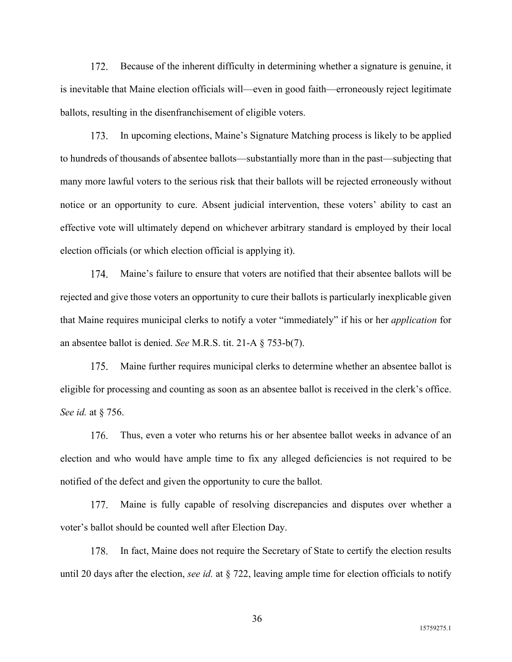172. Because of the inherent difficulty in determining whether a signature is genuine, it is inevitable that Maine election officials will—even in good faith—erroneously reject legitimate ballots, resulting in the disenfranchisement of eligible voters.

173. In upcoming elections, Maine's Signature Matching process is likely to be applied to hundreds of thousands of absentee ballots—substantially more than in the past—subjecting that many more lawful voters to the serious risk that their ballots will be rejected erroneously without notice or an opportunity to cure. Absent judicial intervention, these voters' ability to cast an effective vote will ultimately depend on whichever arbitrary standard is employed by their local election officials (or which election official is applying it).

Maine's failure to ensure that voters are notified that their absentee ballots will be  $174$ rejected and give those voters an opportunity to cure their ballots is particularly inexplicable given that Maine requires municipal clerks to notify a voter "immediately" if his or her *application* for an absentee ballot is denied. *See* M.R.S. tit. 21-A § 753-b(7).

175. Maine further requires municipal clerks to determine whether an absentee ballot is eligible for processing and counting as soon as an absentee ballot is received in the clerk's office. *See id.* at § 756.

Thus, even a voter who returns his or her absentee ballot weeks in advance of an 176. election and who would have ample time to fix any alleged deficiencies is not required to be notified of the defect and given the opportunity to cure the ballot.

Maine is fully capable of resolving discrepancies and disputes over whether a 177. voter's ballot should be counted well after Election Day.

178. In fact, Maine does not require the Secretary of State to certify the election results until 20 days after the election, *see id.* at § 722, leaving ample time for election officials to notify

15759275.1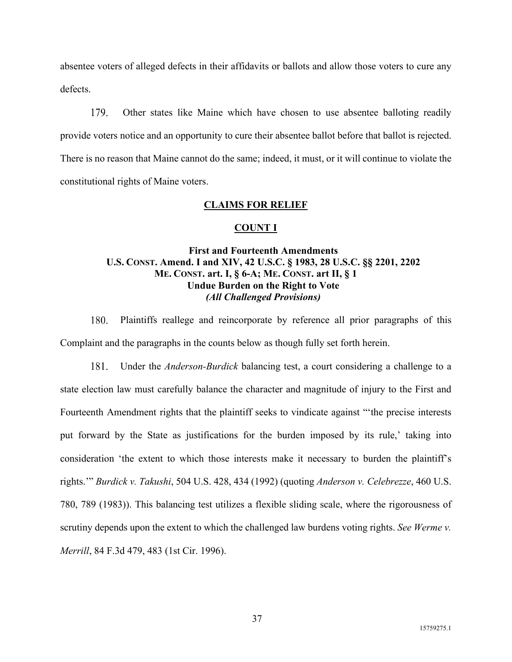absentee voters of alleged defects in their affidavits or ballots and allow those voters to cure any defects.

179. Other states like Maine which have chosen to use absentee balloting readily provide voters notice and an opportunity to cure their absentee ballot before that ballot is rejected. There is no reason that Maine cannot do the same; indeed, it must, or it will continue to violate the constitutional rights of Maine voters.

## **CLAIMS FOR RELIEF**

### **COUNT I**

# **First and Fourteenth Amendments U.S. CONST. Amend. I and XIV, 42 U.S.C. § 1983, 28 U.S.C. §§ 2201, 2202 ME. CONST. art. I, § 6-A; ME. CONST. art II, § 1 Undue Burden on the Right to Vote**  *(All Challenged Provisions)*

180. Plaintiffs reallege and reincorporate by reference all prior paragraphs of this Complaint and the paragraphs in the counts below as though fully set forth herein.

181. Under the *Anderson-Burdick* balancing test, a court considering a challenge to a state election law must carefully balance the character and magnitude of injury to the First and Fourteenth Amendment rights that the plaintiff seeks to vindicate against "'the precise interests put forward by the State as justifications for the burden imposed by its rule,' taking into consideration 'the extent to which those interests make it necessary to burden the plaintiff's rights.'" *Burdick v. Takushi*, 504 U.S. 428, 434 (1992) (quoting *Anderson v. Celebrezze*, 460 U.S. 780, 789 (1983)). This balancing test utilizes a flexible sliding scale, where the rigorousness of scrutiny depends upon the extent to which the challenged law burdens voting rights. *See Werme v. Merrill*, 84 F.3d 479, 483 (1st Cir. 1996).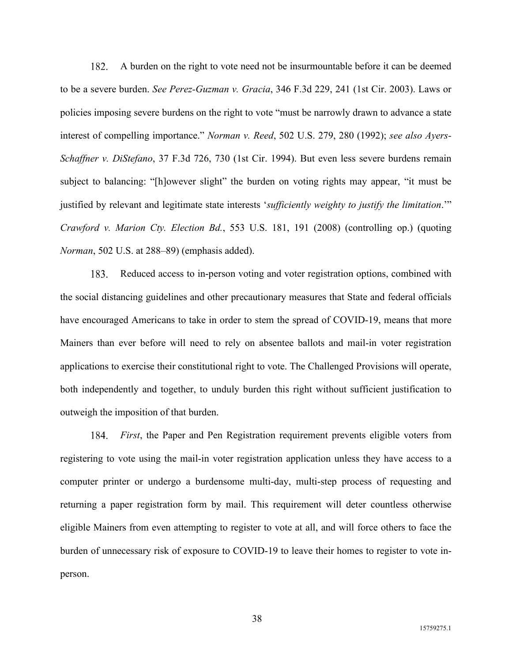182. A burden on the right to vote need not be insurmountable before it can be deemed to be a severe burden. *See Perez-Guzman v. Gracia*, 346 F.3d 229, 241 (1st Cir. 2003). Laws or policies imposing severe burdens on the right to vote "must be narrowly drawn to advance a state interest of compelling importance." *Norman v. Reed*, 502 U.S. 279, 280 (1992); *see also Ayers-Schaffner v. DiStefano*, 37 F.3d 726, 730 (1st Cir. 1994). But even less severe burdens remain subject to balancing: "[h]owever slight" the burden on voting rights may appear, "it must be justified by relevant and legitimate state interests '*sufficiently weighty to justify the limitation*.'" *Crawford v. Marion Cty. Election Bd.*, 553 U.S. 181, 191 (2008) (controlling op.) (quoting *Norman*, 502 U.S. at 288–89) (emphasis added).

Reduced access to in-person voting and voter registration options, combined with 183. the social distancing guidelines and other precautionary measures that State and federal officials have encouraged Americans to take in order to stem the spread of COVID-19, means that more Mainers than ever before will need to rely on absentee ballots and mail-in voter registration applications to exercise their constitutional right to vote. The Challenged Provisions will operate, both independently and together, to unduly burden this right without sufficient justification to outweigh the imposition of that burden.

*First*, the Paper and Pen Registration requirement prevents eligible voters from 184. registering to vote using the mail-in voter registration application unless they have access to a computer printer or undergo a burdensome multi-day, multi-step process of requesting and returning a paper registration form by mail. This requirement will deter countless otherwise eligible Mainers from even attempting to register to vote at all, and will force others to face the burden of unnecessary risk of exposure to COVID-19 to leave their homes to register to vote inperson.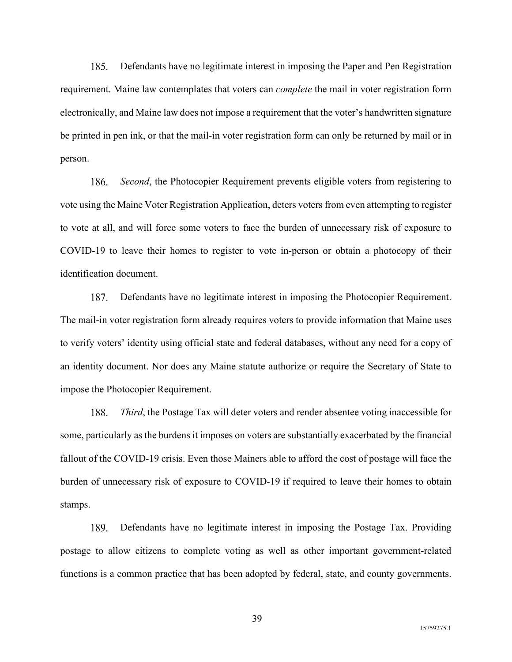185. Defendants have no legitimate interest in imposing the Paper and Pen Registration requirement. Maine law contemplates that voters can *complete* the mail in voter registration form electronically, and Maine law does not impose a requirement that the voter's handwritten signature be printed in pen ink, or that the mail-in voter registration form can only be returned by mail or in person.

*Second*, the Photocopier Requirement prevents eligible voters from registering to 186. vote using the Maine Voter Registration Application, deters voters from even attempting to register to vote at all, and will force some voters to face the burden of unnecessary risk of exposure to COVID-19 to leave their homes to register to vote in-person or obtain a photocopy of their identification document.

187. Defendants have no legitimate interest in imposing the Photocopier Requirement. The mail-in voter registration form already requires voters to provide information that Maine uses to verify voters' identity using official state and federal databases, without any need for a copy of an identity document. Nor does any Maine statute authorize or require the Secretary of State to impose the Photocopier Requirement.

188. *Third*, the Postage Tax will deter voters and render absentee voting inaccessible for some, particularly as the burdens it imposes on voters are substantially exacerbated by the financial fallout of the COVID-19 crisis. Even those Mainers able to afford the cost of postage will face the burden of unnecessary risk of exposure to COVID-19 if required to leave their homes to obtain stamps.

189. Defendants have no legitimate interest in imposing the Postage Tax. Providing postage to allow citizens to complete voting as well as other important government-related functions is a common practice that has been adopted by federal, state, and county governments.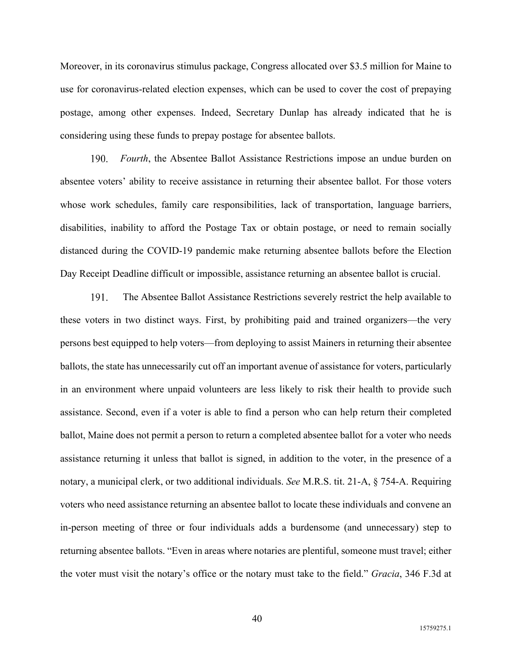Moreover, in its coronavirus stimulus package, Congress allocated over \$3.5 million for Maine to use for coronavirus-related election expenses, which can be used to cover the cost of prepaying postage, among other expenses. Indeed, Secretary Dunlap has already indicated that he is considering using these funds to prepay postage for absentee ballots.

 $190 -$ *Fourth*, the Absentee Ballot Assistance Restrictions impose an undue burden on absentee voters' ability to receive assistance in returning their absentee ballot. For those voters whose work schedules, family care responsibilities, lack of transportation, language barriers, disabilities, inability to afford the Postage Tax or obtain postage, or need to remain socially distanced during the COVID-19 pandemic make returning absentee ballots before the Election Day Receipt Deadline difficult or impossible, assistance returning an absentee ballot is crucial.

191. The Absentee Ballot Assistance Restrictions severely restrict the help available to these voters in two distinct ways. First, by prohibiting paid and trained organizers—the very persons best equipped to help voters—from deploying to assist Mainers in returning their absentee ballots, the state has unnecessarily cut off an important avenue of assistance for voters, particularly in an environment where unpaid volunteers are less likely to risk their health to provide such assistance. Second, even if a voter is able to find a person who can help return their completed ballot, Maine does not permit a person to return a completed absentee ballot for a voter who needs assistance returning it unless that ballot is signed, in addition to the voter, in the presence of a notary, a municipal clerk, or two additional individuals. *See* M.R.S. tit. 21-A, § 754-A. Requiring voters who need assistance returning an absentee ballot to locate these individuals and convene an in-person meeting of three or four individuals adds a burdensome (and unnecessary) step to returning absentee ballots. "Even in areas where notaries are plentiful, someone must travel; either the voter must visit the notary's office or the notary must take to the field." *Gracia*, 346 F.3d at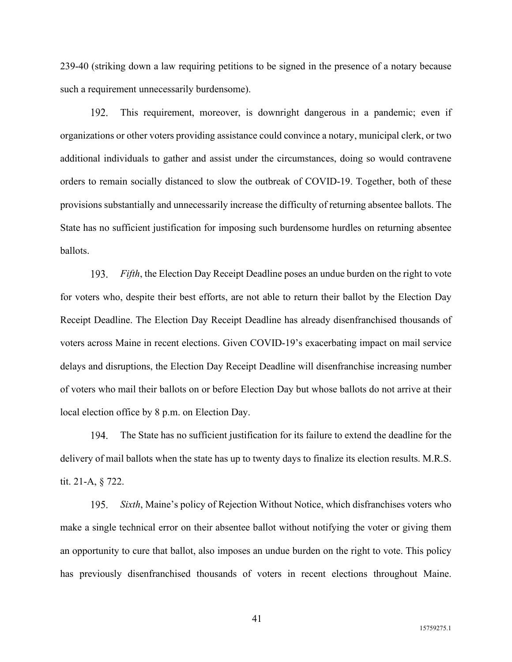239-40 (striking down a law requiring petitions to be signed in the presence of a notary because such a requirement unnecessarily burdensome).

192. This requirement, moreover, is downright dangerous in a pandemic; even if organizations or other voters providing assistance could convince a notary, municipal clerk, or two additional individuals to gather and assist under the circumstances, doing so would contravene orders to remain socially distanced to slow the outbreak of COVID-19. Together, both of these provisions substantially and unnecessarily increase the difficulty of returning absentee ballots. The State has no sufficient justification for imposing such burdensome hurdles on returning absentee ballots.

 $193.$ *Fifth*, the Election Day Receipt Deadline poses an undue burden on the right to vote for voters who, despite their best efforts, are not able to return their ballot by the Election Day Receipt Deadline. The Election Day Receipt Deadline has already disenfranchised thousands of voters across Maine in recent elections. Given COVID-19's exacerbating impact on mail service delays and disruptions, the Election Day Receipt Deadline will disenfranchise increasing number of voters who mail their ballots on or before Election Day but whose ballots do not arrive at their local election office by 8 p.m. on Election Day.

194. The State has no sufficient justification for its failure to extend the deadline for the delivery of mail ballots when the state has up to twenty days to finalize its election results. M.R.S. tit. 21-A, § 722.

195. *Sixth*, Maine's policy of Rejection Without Notice, which disfranchises voters who make a single technical error on their absentee ballot without notifying the voter or giving them an opportunity to cure that ballot, also imposes an undue burden on the right to vote. This policy has previously disenfranchised thousands of voters in recent elections throughout Maine.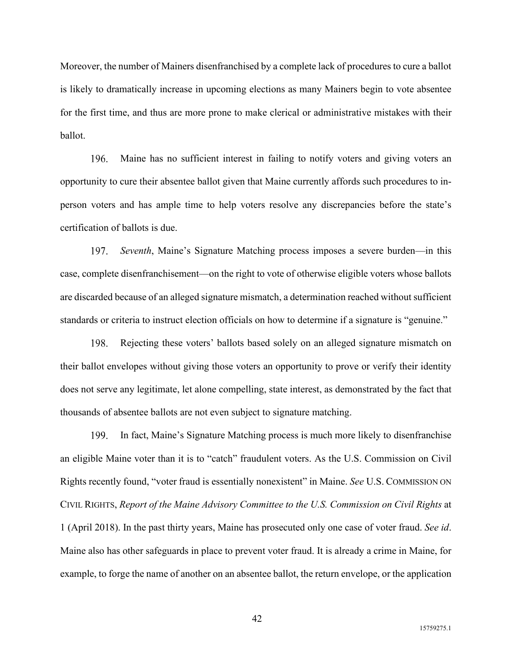Moreover, the number of Mainers disenfranchised by a complete lack of procedures to cure a ballot is likely to dramatically increase in upcoming elections as many Mainers begin to vote absentee for the first time, and thus are more prone to make clerical or administrative mistakes with their ballot.

196. Maine has no sufficient interest in failing to notify voters and giving voters an opportunity to cure their absentee ballot given that Maine currently affords such procedures to inperson voters and has ample time to help voters resolve any discrepancies before the state's certification of ballots is due.

197. *Seventh*, Maine's Signature Matching process imposes a severe burden—in this case, complete disenfranchisement—on the right to vote of otherwise eligible voters whose ballots are discarded because of an alleged signature mismatch, a determination reached without sufficient standards or criteria to instruct election officials on how to determine if a signature is "genuine."

Rejecting these voters' ballots based solely on an alleged signature mismatch on 198. their ballot envelopes without giving those voters an opportunity to prove or verify their identity does not serve any legitimate, let alone compelling, state interest, as demonstrated by the fact that thousands of absentee ballots are not even subject to signature matching.

In fact, Maine's Signature Matching process is much more likely to disenfranchise 199. an eligible Maine voter than it is to "catch" fraudulent voters. As the U.S. Commission on Civil Rights recently found, "voter fraud is essentially nonexistent" in Maine. *See* U.S. COMMISSION ON CIVIL RIGHTS, *Report of the Maine Advisory Committee to the U.S. Commission on Civil Rights* at 1 (April 2018). In the past thirty years, Maine has prosecuted only one case of voter fraud. *See id*. Maine also has other safeguards in place to prevent voter fraud. It is already a crime in Maine, for example, to forge the name of another on an absentee ballot, the return envelope, or the application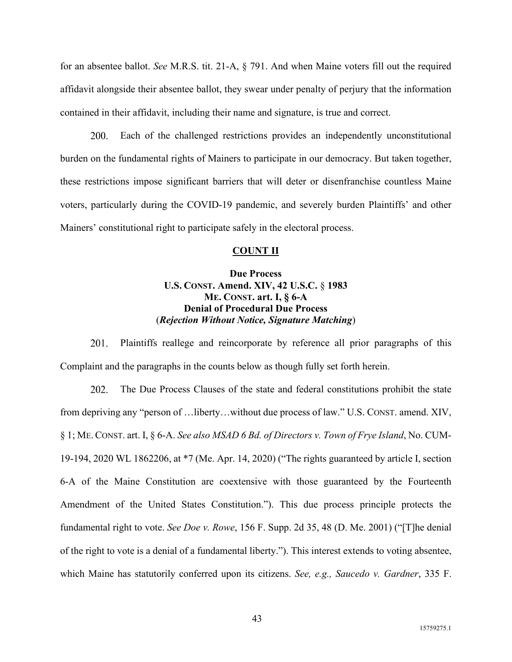for an absentee ballot. *See* M.R.S. tit. 21-A, § 791. And when Maine voters fill out the required affidavit alongside their absentee ballot, they swear under penalty of perjury that the information contained in their affidavit, including their name and signature, is true and correct.

200. Each of the challenged restrictions provides an independently unconstitutional burden on the fundamental rights of Mainers to participate in our democracy. But taken together, these restrictions impose significant barriers that will deter or disenfranchise countless Maine voters, particularly during the COVID-19 pandemic, and severely burden Plaintiffs' and other Mainers' constitutional right to participate safely in the electoral process.

### **COUNT II**

# **Due Process U.S. CONST. Amend. XIV, 42 U.S.C.** § **1983 ME. CONST. art. I, § 6-A Denial of Procedural Due Process**  (*Rejection Without Notice, Signature Matching*)

Plaintiffs reallege and reincorporate by reference all prior paragraphs of this 201. Complaint and the paragraphs in the counts below as though fully set forth herein.

202. The Due Process Clauses of the state and federal constitutions prohibit the state from depriving any "person of …liberty…without due process of law." U.S. CONST. amend. XIV, § 1; ME. CONST. art. I, § 6-A. *See also MSAD 6 Bd. of Directors v. Town of Frye Island*, No. CUM-19-194, 2020 WL 1862206, at \*7 (Me. Apr. 14, 2020) ("The rights guaranteed by article I, section 6-A of the Maine Constitution are coextensive with those guaranteed by the Fourteenth Amendment of the United States Constitution."). This due process principle protects the fundamental right to vote. *See Doe v. Rowe*, 156 F. Supp. 2d 35, 48 (D. Me. 2001) ("[T]he denial of the right to vote is a denial of a fundamental liberty."). This interest extends to voting absentee, which Maine has statutorily conferred upon its citizens. *See, e.g., Saucedo v. Gardner*, 335 F.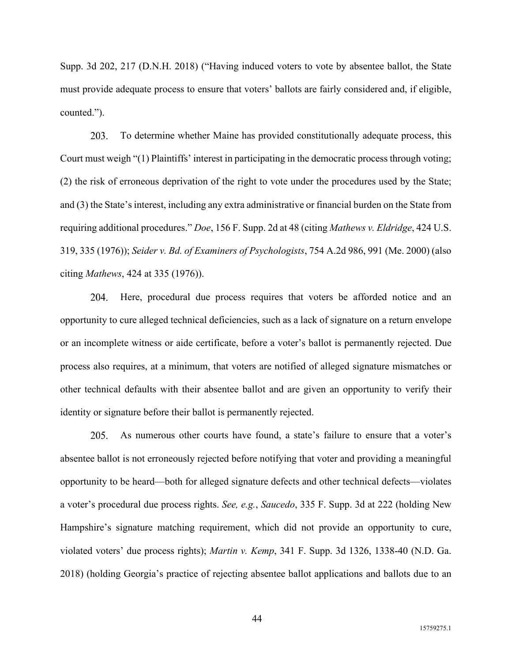Supp. 3d 202, 217 (D.N.H. 2018) ("Having induced voters to vote by absentee ballot, the State must provide adequate process to ensure that voters' ballots are fairly considered and, if eligible, counted.").

203. To determine whether Maine has provided constitutionally adequate process, this Court must weigh "(1) Plaintiffs' interest in participating in the democratic process through voting; (2) the risk of erroneous deprivation of the right to vote under the procedures used by the State; and (3) the State's interest, including any extra administrative or financial burden on the State from requiring additional procedures." *Doe*, 156 F. Supp. 2d at 48 (citing *Mathews v. Eldridge*, 424 U.S. 319, 335 (1976)); *Seider v. Bd. of Examiners of Psychologists*, 754 A.2d 986, 991 (Me. 2000) (also citing *Mathews*, 424 at 335 (1976)).

204. Here, procedural due process requires that voters be afforded notice and an opportunity to cure alleged technical deficiencies, such as a lack of signature on a return envelope or an incomplete witness or aide certificate, before a voter's ballot is permanently rejected. Due process also requires, at a minimum, that voters are notified of alleged signature mismatches or other technical defaults with their absentee ballot and are given an opportunity to verify their identity or signature before their ballot is permanently rejected.

As numerous other courts have found, a state's failure to ensure that a voter's 205. absentee ballot is not erroneously rejected before notifying that voter and providing a meaningful opportunity to be heard—both for alleged signature defects and other technical defects—violates a voter's procedural due process rights. *See, e.g.*, *Saucedo*, 335 F. Supp. 3d at 222 (holding New Hampshire's signature matching requirement, which did not provide an opportunity to cure, violated voters' due process rights); *Martin v. Kemp*, 341 F. Supp. 3d 1326, 1338-40 (N.D. Ga. 2018) (holding Georgia's practice of rejecting absentee ballot applications and ballots due to an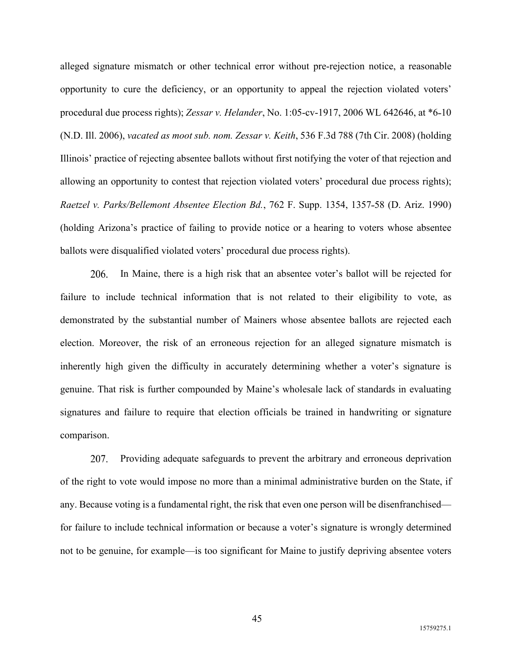alleged signature mismatch or other technical error without pre-rejection notice, a reasonable opportunity to cure the deficiency, or an opportunity to appeal the rejection violated voters' procedural due process rights); *Zessar v. Helander*, No. 1:05-cv-1917, 2006 WL 642646, at \*6-10 (N.D. Ill. 2006), *vacated as moot sub. nom. Zessar v. Keith*, 536 F.3d 788 (7th Cir. 2008) (holding Illinois' practice of rejecting absentee ballots without first notifying the voter of that rejection and allowing an opportunity to contest that rejection violated voters' procedural due process rights); *Raetzel v. Parks/Bellemont Absentee Election Bd., 762 F. Supp. 1354, 1357-58 (D. Ariz. 1990)* (holding Arizona's practice of failing to provide notice or a hearing to voters whose absentee ballots were disqualified violated voters' procedural due process rights).

In Maine, there is a high risk that an absentee voter's ballot will be rejected for 206. failure to include technical information that is not related to their eligibility to vote, as demonstrated by the substantial number of Mainers whose absentee ballots are rejected each election. Moreover, the risk of an erroneous rejection for an alleged signature mismatch is inherently high given the difficulty in accurately determining whether a voter's signature is genuine. That risk is further compounded by Maine's wholesale lack of standards in evaluating signatures and failure to require that election officials be trained in handwriting or signature comparison.

207. Providing adequate safeguards to prevent the arbitrary and erroneous deprivation of the right to vote would impose no more than a minimal administrative burden on the State, if any. Because voting is a fundamental right, the risk that even one person will be disenfranchised for failure to include technical information or because a voter's signature is wrongly determined not to be genuine, for example—is too significant for Maine to justify depriving absentee voters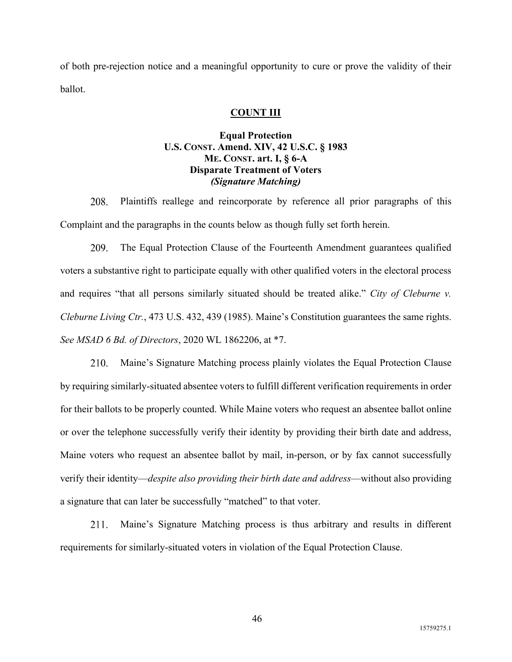of both pre-rejection notice and a meaningful opportunity to cure or prove the validity of their ballot.

## **COUNT III**

# **Equal Protection U.S. CONST. Amend. XIV, 42 U.S.C. § 1983 ME. CONST. art. I, § 6-A Disparate Treatment of Voters**  *(Signature Matching)*

208. Plaintiffs reallege and reincorporate by reference all prior paragraphs of this Complaint and the paragraphs in the counts below as though fully set forth herein.

209. The Equal Protection Clause of the Fourteenth Amendment guarantees qualified voters a substantive right to participate equally with other qualified voters in the electoral process and requires "that all persons similarly situated should be treated alike." *City of Cleburne v. Cleburne Living Ctr.*, 473 U.S. 432, 439 (1985). Maine's Constitution guarantees the same rights. *See MSAD 6 Bd. of Directors*, 2020 WL 1862206, at \*7.

210. Maine's Signature Matching process plainly violates the Equal Protection Clause by requiring similarly-situated absentee voters to fulfill different verification requirements in order for their ballots to be properly counted. While Maine voters who request an absentee ballot online or over the telephone successfully verify their identity by providing their birth date and address, Maine voters who request an absentee ballot by mail, in-person, or by fax cannot successfully verify their identity—*despite also providing their birth date and address*—without also providing a signature that can later be successfully "matched" to that voter.

Maine's Signature Matching process is thus arbitrary and results in different 211. requirements for similarly-situated voters in violation of the Equal Protection Clause.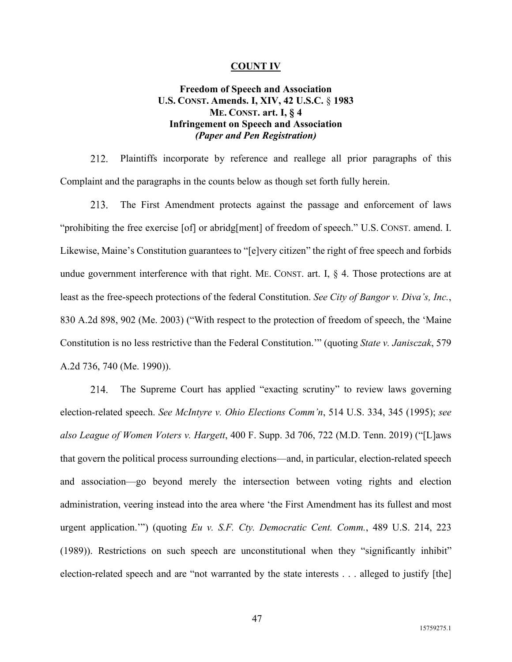#### **COUNT IV**

## **Freedom of Speech and Association U.S. CONST. Amends. I, XIV, 42 U.S.C.** § **1983 ME. CONST. art. I, § 4 Infringement on Speech and Association**  *(Paper and Pen Registration)*

212. Plaintiffs incorporate by reference and reallege all prior paragraphs of this Complaint and the paragraphs in the counts below as though set forth fully herein.

213. The First Amendment protects against the passage and enforcement of laws "prohibiting the free exercise [of] or abridg[ment] of freedom of speech." U.S. CONST. amend. I. Likewise, Maine's Constitution guarantees to "[e]very citizen" the right of free speech and forbids undue government interference with that right. ME. CONST. art. I,  $\S$  4. Those protections are at least as the free-speech protections of the federal Constitution. *See City of Bangor v. Diva's, Inc.*, 830 A.2d 898, 902 (Me. 2003) ("With respect to the protection of freedom of speech, the 'Maine Constitution is no less restrictive than the Federal Constitution.'" (quoting *State v. Janisczak*, 579 A.2d 736, 740 (Me. 1990)).

214. The Supreme Court has applied "exacting scrutiny" to review laws governing election-related speech. *See McIntyre v. Ohio Elections Comm'n*, 514 U.S. 334, 345 (1995); *see also League of Women Voters v. Hargett*, 400 F. Supp. 3d 706, 722 (M.D. Tenn. 2019) ("[L]aws that govern the political process surrounding elections—and, in particular, election-related speech and association—go beyond merely the intersection between voting rights and election administration, veering instead into the area where 'the First Amendment has its fullest and most urgent application.'") (quoting *Eu v. S.F. Cty. Democratic Cent. Comm.*, 489 U.S. 214, 223 (1989)). Restrictions on such speech are unconstitutional when they "significantly inhibit" election-related speech and are "not warranted by the state interests . . . alleged to justify [the]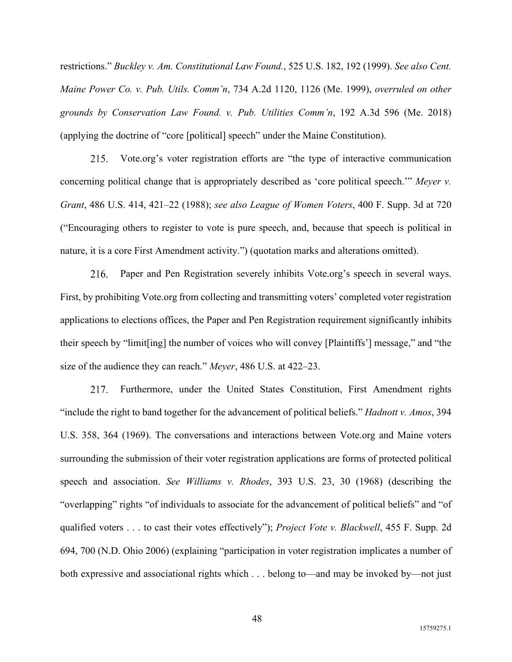restrictions." *Buckley v. Am. Constitutional Law Found.*, 525 U.S. 182, 192 (1999). *See also Cent. Maine Power Co. v. Pub. Utils. Comm'n*, 734 A.2d 1120, 1126 (Me. 1999), *overruled on other grounds by Conservation Law Found. v. Pub. Utilities Comm'n*, 192 A.3d 596 (Me. 2018) (applying the doctrine of "core [political] speech" under the Maine Constitution).

Vote.org's voter registration efforts are "the type of interactive communication 215. concerning political change that is appropriately described as 'core political speech.'" *Meyer v. Grant*, 486 U.S. 414, 421–22 (1988); *see also League of Women Voters*, 400 F. Supp. 3d at 720 ("Encouraging others to register to vote is pure speech, and, because that speech is political in nature, it is a core First Amendment activity.") (quotation marks and alterations omitted).

Paper and Pen Registration severely inhibits Vote.org's speech in several ways. 216. First, by prohibiting Vote.org from collecting and transmitting voters' completed voter registration applications to elections offices, the Paper and Pen Registration requirement significantly inhibits their speech by "limit[ing] the number of voices who will convey [Plaintiffs'] message," and "the size of the audience they can reach." *Meyer*, 486 U.S. at 422–23.

217. Furthermore, under the United States Constitution, First Amendment rights "include the right to band together for the advancement of political beliefs." *Hadnott v. Amos*, 394 U.S. 358, 364 (1969). The conversations and interactions between Vote.org and Maine voters surrounding the submission of their voter registration applications are forms of protected political speech and association. *See Williams v. Rhodes*, 393 U.S. 23, 30 (1968) (describing the "overlapping" rights "of individuals to associate for the advancement of political beliefs" and "of qualified voters . . . to cast their votes effectively"); *Project Vote v. Blackwell*, 455 F. Supp. 2d 694, 700 (N.D. Ohio 2006) (explaining "participation in voter registration implicates a number of both expressive and associational rights which . . . belong to—and may be invoked by—not just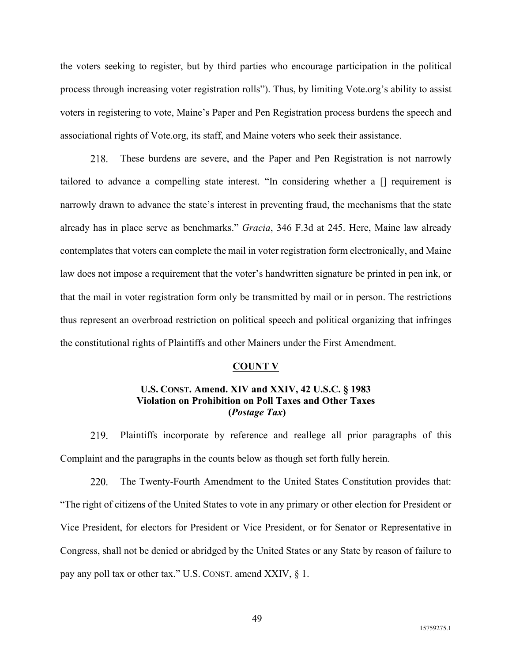the voters seeking to register, but by third parties who encourage participation in the political process through increasing voter registration rolls"). Thus, by limiting Vote.org's ability to assist voters in registering to vote, Maine's Paper and Pen Registration process burdens the speech and associational rights of Vote.org, its staff, and Maine voters who seek their assistance.

These burdens are severe, and the Paper and Pen Registration is not narrowly 218. tailored to advance a compelling state interest. "In considering whether a [] requirement is narrowly drawn to advance the state's interest in preventing fraud, the mechanisms that the state already has in place serve as benchmarks." *Gracia*, 346 F.3d at 245. Here, Maine law already contemplates that voters can complete the mail in voter registration form electronically, and Maine law does not impose a requirement that the voter's handwritten signature be printed in pen ink, or that the mail in voter registration form only be transmitted by mail or in person. The restrictions thus represent an overbroad restriction on political speech and political organizing that infringes the constitutional rights of Plaintiffs and other Mainers under the First Amendment.

### **COUNT V**

## **U.S. CONST. Amend. XIV and XXIV, 42 U.S.C. § 1983 Violation on Prohibition on Poll Taxes and Other Taxes (***Postage Tax***)**

Plaintiffs incorporate by reference and reallege all prior paragraphs of this 219. Complaint and the paragraphs in the counts below as though set forth fully herein.

220. The Twenty-Fourth Amendment to the United States Constitution provides that: "The right of citizens of the United States to vote in any primary or other election for President or Vice President, for electors for President or Vice President, or for Senator or Representative in Congress, shall not be denied or abridged by the United States or any State by reason of failure to pay any poll tax or other tax." U.S. CONST. amend XXIV, § 1.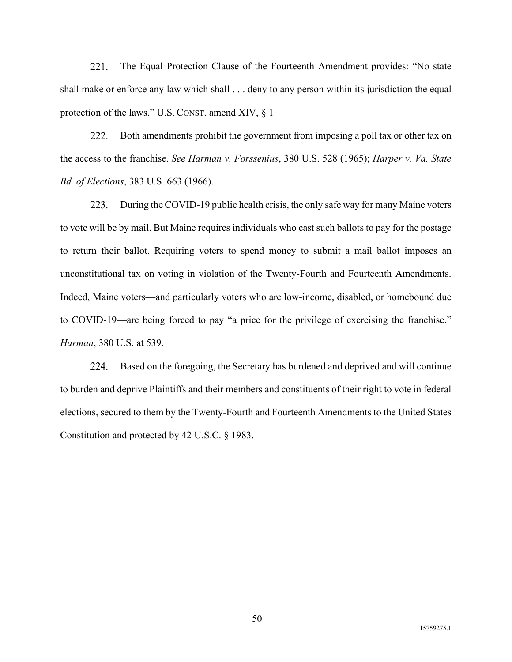221. The Equal Protection Clause of the Fourteenth Amendment provides: "No state shall make or enforce any law which shall . . . deny to any person within its jurisdiction the equal protection of the laws." U.S. CONST. amend XIV, § 1

222. Both amendments prohibit the government from imposing a poll tax or other tax on the access to the franchise. *See Harman v. Forssenius*, 380 U.S. 528 (1965); *Harper v. Va. State Bd. of Elections*, 383 U.S. 663 (1966).

223. During the COVID-19 public health crisis, the only safe way for many Maine voters to vote will be by mail. But Maine requires individuals who cast such ballots to pay for the postage to return their ballot. Requiring voters to spend money to submit a mail ballot imposes an unconstitutional tax on voting in violation of the Twenty-Fourth and Fourteenth Amendments. Indeed, Maine voters⸺and particularly voters who are low-income, disabled, or homebound due to COVID-19—are being forced to pay "a price for the privilege of exercising the franchise." *Harman*, 380 U.S. at 539.

224. Based on the foregoing, the Secretary has burdened and deprived and will continue to burden and deprive Plaintiffs and their members and constituents of their right to vote in federal elections, secured to them by the Twenty-Fourth and Fourteenth Amendments to the United States Constitution and protected by 42 U.S.C. § 1983.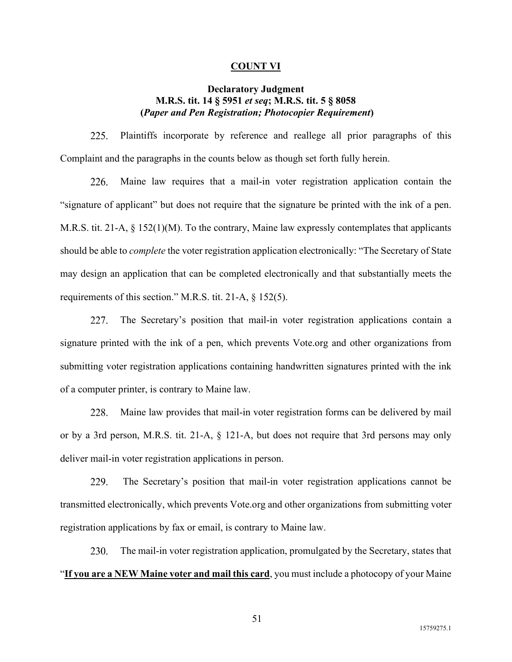#### **COUNT VI**

## **Declaratory Judgment M.R.S. tit. 14 § 5951** *et seq***; M.R.S. tit. 5 § 8058 (***Paper and Pen Registration; Photocopier Requirement***)**

225. Plaintiffs incorporate by reference and reallege all prior paragraphs of this Complaint and the paragraphs in the counts below as though set forth fully herein.

226. Maine law requires that a mail-in voter registration application contain the "signature of applicant" but does not require that the signature be printed with the ink of a pen. M.R.S. tit. 21-A, § 152(1)(M). To the contrary, Maine law expressly contemplates that applicants should be able to *complete* the voter registration application electronically: "The Secretary of State may design an application that can be completed electronically and that substantially meets the requirements of this section." M.R.S. tit. 21-A, § 152(5).

227. The Secretary's position that mail-in voter registration applications contain a signature printed with the ink of a pen, which prevents Vote.org and other organizations from submitting voter registration applications containing handwritten signatures printed with the ink of a computer printer, is contrary to Maine law.

228. Maine law provides that mail-in voter registration forms can be delivered by mail or by a 3rd person, M.R.S. tit. 21-A, § 121-A, but does not require that 3rd persons may only deliver mail-in voter registration applications in person.

229. The Secretary's position that mail-in voter registration applications cannot be transmitted electronically, which prevents Vote.org and other organizations from submitting voter registration applications by fax or email, is contrary to Maine law.

230. The mail-in voter registration application, promulgated by the Secretary, states that "**If you are a NEW Maine voter and mail this card**, you must include a photocopy of your Maine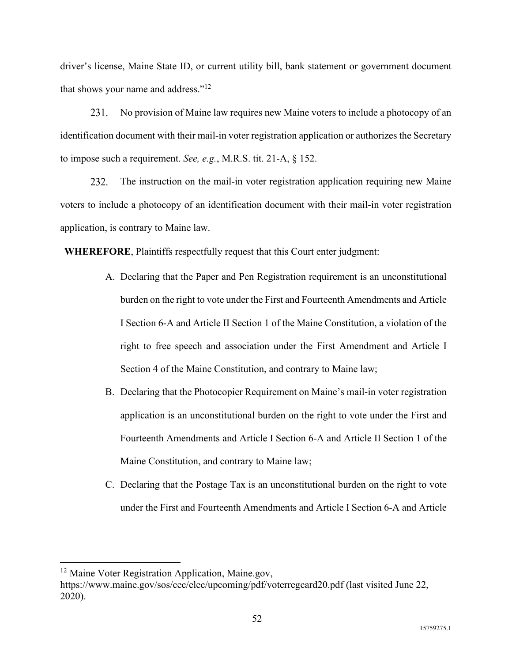driver's license, Maine State ID, or current utility bill, bank statement or government document that shows your name and address."<sup>12</sup>

231. No provision of Maine law requires new Maine voters to include a photocopy of an identification document with their mail-in voter registration application or authorizes the Secretary to impose such a requirement. *See, e.g.*, M.R.S. tit. 21-A, § 152.

232. The instruction on the mail-in voter registration application requiring new Maine voters to include a photocopy of an identification document with their mail-in voter registration application, is contrary to Maine law.

**WHEREFORE**, Plaintiffs respectfully request that this Court enter judgment:

- A. Declaring that the Paper and Pen Registration requirement is an unconstitutional burden on the right to vote under the First and Fourteenth Amendments and Article I Section 6-A and Article II Section 1 of the Maine Constitution, a violation of the right to free speech and association under the First Amendment and Article I Section 4 of the Maine Constitution, and contrary to Maine law;
- B. Declaring that the Photocopier Requirement on Maine's mail-in voter registration application is an unconstitutional burden on the right to vote under the First and Fourteenth Amendments and Article I Section 6-A and Article II Section 1 of the Maine Constitution, and contrary to Maine law;
- C. Declaring that the Postage Tax is an unconstitutional burden on the right to vote under the First and Fourteenth Amendments and Article I Section 6-A and Article

<sup>&</sup>lt;sup>12</sup> Maine Voter Registration Application, Maine.gov,

https://www.maine.gov/sos/cec/elec/upcoming/pdf/voterregcard20.pdf (last visited June 22, 2020).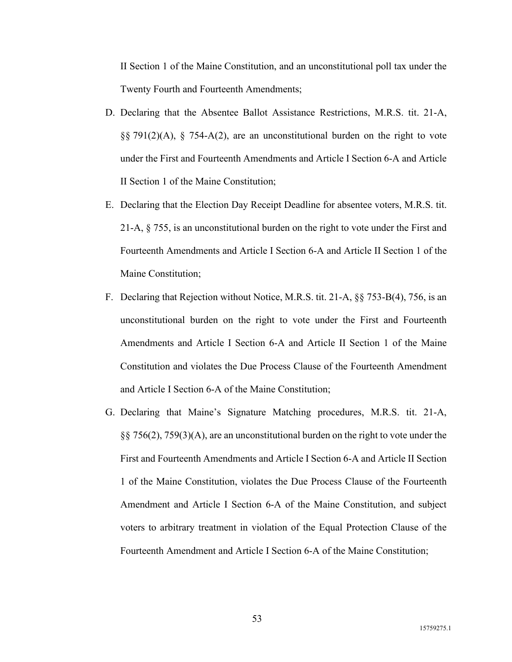II Section 1 of the Maine Constitution, and an unconstitutional poll tax under the Twenty Fourth and Fourteenth Amendments;

- D. Declaring that the Absentee Ballot Assistance Restrictions, M.R.S. tit. 21-A, §§ 791(2)(A), § 754-A(2), are an unconstitutional burden on the right to vote under the First and Fourteenth Amendments and Article I Section 6-A and Article II Section 1 of the Maine Constitution;
- E. Declaring that the Election Day Receipt Deadline for absentee voters, M.R.S. tit. 21-A, § 755, is an unconstitutional burden on the right to vote under the First and Fourteenth Amendments and Article I Section 6-A and Article II Section 1 of the Maine Constitution;
- F. Declaring that Rejection without Notice, M.R.S. tit. 21-A, §§ 753-B(4), 756, is an unconstitutional burden on the right to vote under the First and Fourteenth Amendments and Article I Section 6-A and Article II Section 1 of the Maine Constitution and violates the Due Process Clause of the Fourteenth Amendment and Article I Section 6-A of the Maine Constitution;
- G. Declaring that Maine's Signature Matching procedures, M.R.S. tit. 21-A, §§ 756(2), 759(3)(A), are an unconstitutional burden on the right to vote under the First and Fourteenth Amendments and Article I Section 6-A and Article II Section 1 of the Maine Constitution, violates the Due Process Clause of the Fourteenth Amendment and Article I Section 6-A of the Maine Constitution, and subject voters to arbitrary treatment in violation of the Equal Protection Clause of the Fourteenth Amendment and Article I Section 6-A of the Maine Constitution;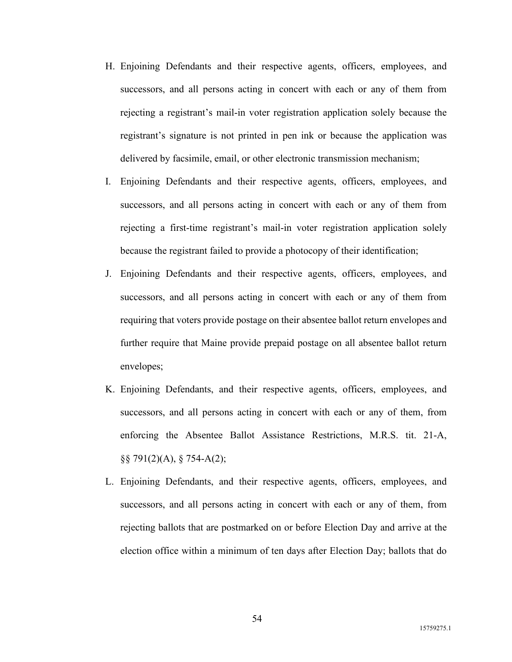- H. Enjoining Defendants and their respective agents, officers, employees, and successors, and all persons acting in concert with each or any of them from rejecting a registrant's mail-in voter registration application solely because the registrant's signature is not printed in pen ink or because the application was delivered by facsimile, email, or other electronic transmission mechanism;
- I. Enjoining Defendants and their respective agents, officers, employees, and successors, and all persons acting in concert with each or any of them from rejecting a first-time registrant's mail-in voter registration application solely because the registrant failed to provide a photocopy of their identification;
- J. Enjoining Defendants and their respective agents, officers, employees, and successors, and all persons acting in concert with each or any of them from requiring that voters provide postage on their absentee ballot return envelopes and further require that Maine provide prepaid postage on all absentee ballot return envelopes;
- K. Enjoining Defendants, and their respective agents, officers, employees, and successors, and all persons acting in concert with each or any of them, from enforcing the Absentee Ballot Assistance Restrictions, M.R.S. tit. 21-A, §§ 791(2)(A), § 754-A(2);
- L. Enjoining Defendants, and their respective agents, officers, employees, and successors, and all persons acting in concert with each or any of them, from rejecting ballots that are postmarked on or before Election Day and arrive at the election office within a minimum of ten days after Election Day; ballots that do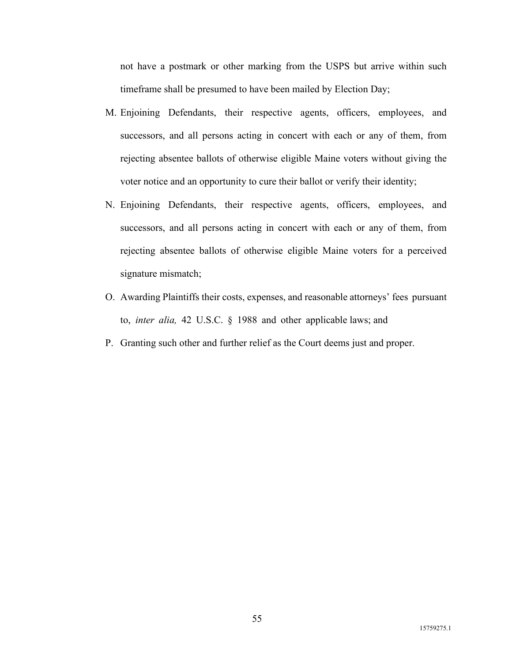not have a postmark or other marking from the USPS but arrive within such timeframe shall be presumed to have been mailed by Election Day;

- M. Enjoining Defendants, their respective agents, officers, employees, and successors, and all persons acting in concert with each or any of them, from rejecting absentee ballots of otherwise eligible Maine voters without giving the voter notice and an opportunity to cure their ballot or verify their identity;
- N. Enjoining Defendants, their respective agents, officers, employees, and successors, and all persons acting in concert with each or any of them, from rejecting absentee ballots of otherwise eligible Maine voters for a perceived signature mismatch;
- O. Awarding Plaintiffs their costs, expenses, and reasonable attorneys' fees pursuant to, *inter alia,* 42 U.S.C. § 1988 and other applicable laws; and
- P. Granting such other and further relief as the Court deems just and proper.